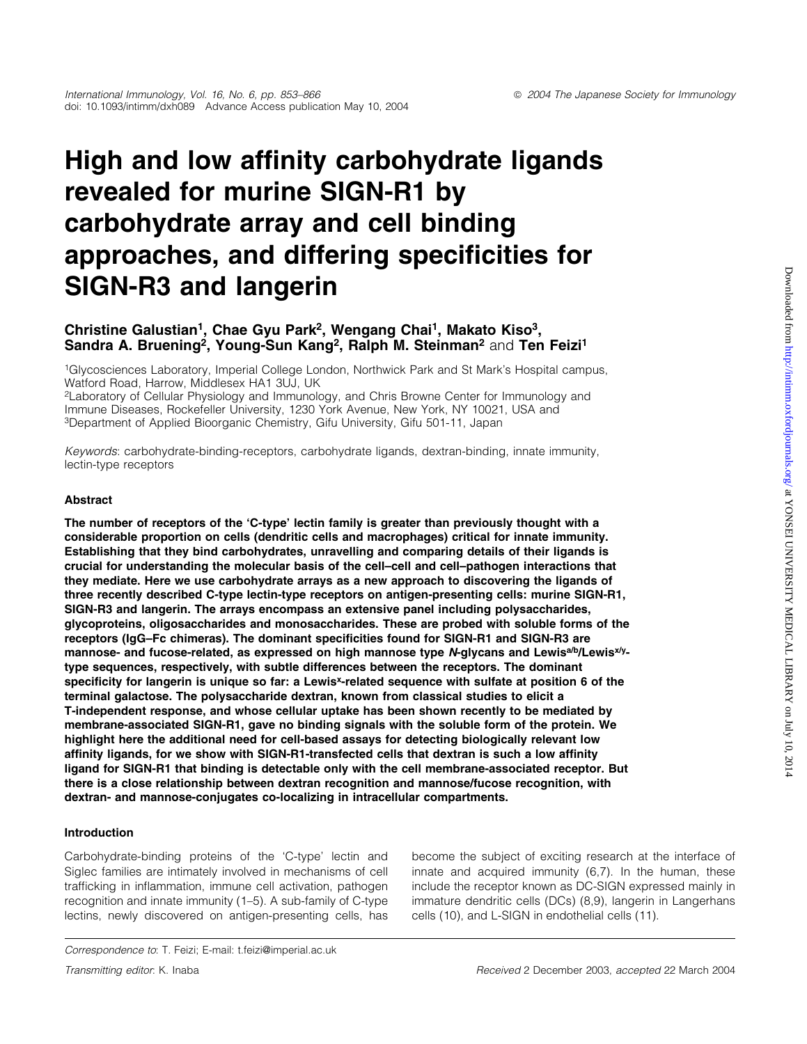# High and low affinity carbohydrate ligands revealed for murine SIGN-R1 by carbohydrate array and cell binding approaches, and differing specificities for SIGN-R3 and langerin

## Christine Galustian<sup>1</sup>, Chae Gyu Park<sup>2</sup>, Wengang Chai<sup>1</sup>, Makato Kiso<sup>3</sup>, Sandra A. Bruening<sup>2</sup>, Young-Sun Kang<sup>2</sup>, Ralph M. Steinman<sup>2</sup> and Ten Feizi<sup>1</sup>

1Glycosciences Laboratory, Imperial College London, Northwick Park and St Mark's Hospital campus, Watford Road, Harrow, Middlesex HA1 3UJ, UK

2Laboratory of Cellular Physiology and Immunology, and Chris Browne Center for Immunology and Immune Diseases, Rockefeller University, 1230 York Avenue, New York, NY 10021, USA and 3Department of Applied Bioorganic Chemistry, Gifu University, Gifu 501-11, Japan

Keywords: carbohydrate-binding-receptors, carbohydrate ligands, dextran-binding, innate immunity, lectin-type receptors

## Abstract

The number of receptors of the `C-type' lectin family is greater than previously thought with a considerable proportion on cells (dendritic cells and macrophages) critical for innate immunity. Establishing that they bind carbohydrates, unravelling and comparing details of their ligands is crucial for understanding the molecular basis of the cell-cell and cell-pathogen interactions that they mediate. Here we use carbohydrate arrays as a new approach to discovering the ligands of three recently described C-type lectin-type receptors on antigen-presenting cells: murine SIGN-R1, SIGN-R3 and langerin. The arrays encompass an extensive panel including polysaccharides, glycoproteins, oligosaccharides and monosaccharides. These are probed with soluble forms of the receptors (IgG-Fc chimeras). The dominant specificities found for SIGN-R1 and SIGN-R3 are mannose- and fucose-related, as expressed on high mannose type N-glycans and Lewis<sup>a/b</sup>/Lewis<sup>x/y</sup>type sequences, respectively, with subtle differences between the receptors. The dominant specificity for langerin is unique so far: a Lewis<sup>x</sup>-related sequence with sulfate at position 6 of the terminal galactose. The polysaccharide dextran, known from classical studies to elicit a T-independent response, and whose cellular uptake has been shown recently to be mediated by membrane-associated SIGN-R1, gave no binding signals with the soluble form of the protein. We highlight here the additional need for cell-based assays for detecting biologically relevant low affinity ligands, for we show with SIGN-R1-transfected cells that dextran is such a low affinity ligand for SIGN-R1 that binding is detectable only with the cell membrane-associated receptor. But there is a close relationship between dextran recognition and mannose/fucose recognition, with dextran- and mannose-conjugates co-localizing in intracellular compartments.

#### Introduction

Carbohydrate-binding proteins of the `C-type' lectin and Siglec families are intimately involved in mechanisms of cell trafficking in inflammation, immune cell activation, pathogen recognition and innate immunity (1–5). A sub-family of C-type lectins, newly discovered on antigen-presenting cells, has become the subject of exciting research at the interface of innate and acquired immunity (6,7). In the human, these include the receptor known as DC-SIGN expressed mainly in immature dendritic cells (DCs) (8,9), langerin in Langerhans cells (10), and L-SIGN in endothelial cells (11).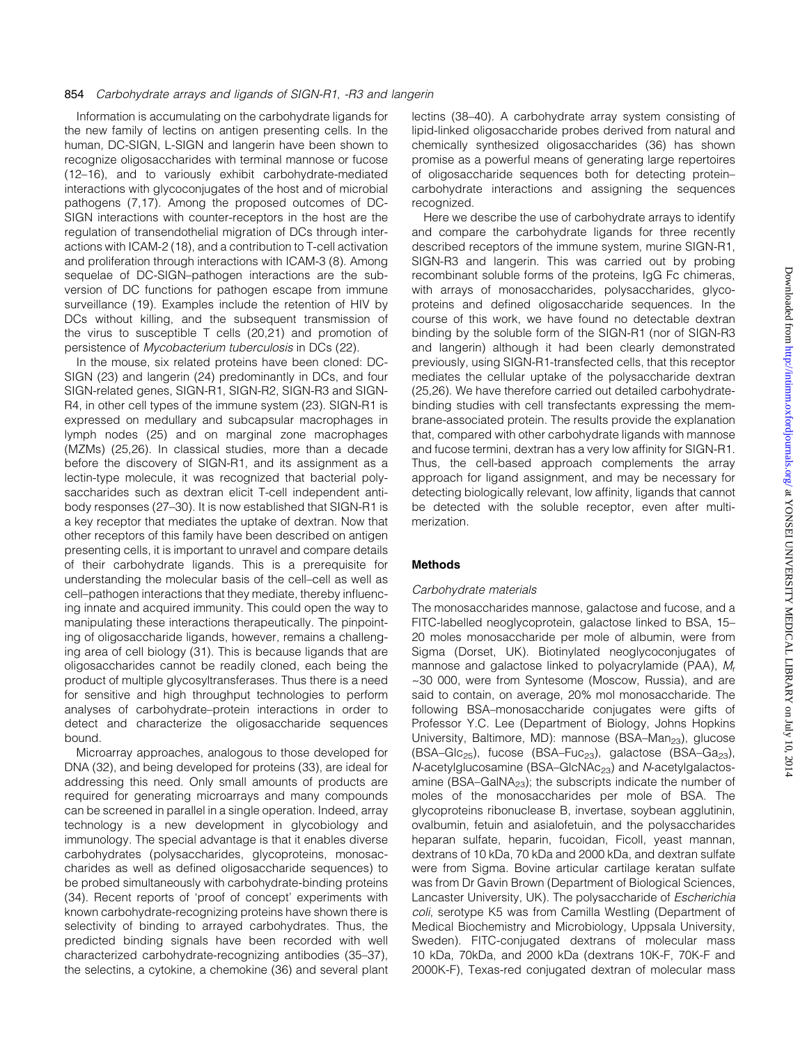Information is accumulating on the carbohydrate ligands for the new family of lectins on antigen presenting cells. In the human, DC-SIGN, L-SIGN and langerin have been shown to recognize oligosaccharides with terminal mannose or fucose (12-16), and to variously exhibit carbohydrate-mediated interactions with glycoconjugates of the host and of microbial pathogens (7,17). Among the proposed outcomes of DC-SIGN interactions with counter-receptors in the host are the regulation of transendothelial migration of DCs through interactions with ICAM-2 (18), and a contribution to T-cell activation and proliferation through interactions with ICAM-3 (8). Among sequelae of DC-SIGN-pathogen interactions are the subversion of DC functions for pathogen escape from immune surveillance (19). Examples include the retention of HIV by DCs without killing, and the subsequent transmission of the virus to susceptible T cells (20,21) and promotion of persistence of Mycobacterium tuberculosis in DCs (22).

In the mouse, six related proteins have been cloned: DC-SIGN (23) and langerin (24) predominantly in DCs, and four SIGN-related genes, SIGN-R1, SIGN-R2, SIGN-R3 and SIGN-R4, in other cell types of the immune system (23). SIGN-R1 is expressed on medullary and subcapsular macrophages in lymph nodes (25) and on marginal zone macrophages (MZMs) (25,26). In classical studies, more than a decade before the discovery of SIGN-R1, and its assignment as a lectin-type molecule, it was recognized that bacterial polysaccharides such as dextran elicit T-cell independent antibody responses (27-30). It is now established that SIGN-R1 is a key receptor that mediates the uptake of dextran. Now that other receptors of this family have been described on antigen presenting cells, it is important to unravel and compare details of their carbohydrate ligands. This is a prerequisite for understanding the molecular basis of the cell-cell as well as cell-pathogen interactions that they mediate, thereby influencing innate and acquired immunity. This could open the way to manipulating these interactions therapeutically. The pinpointing of oligosaccharide ligands, however, remains a challenging area of cell biology (31). This is because ligands that are oligosaccharides cannot be readily cloned, each being the product of multiple glycosyltransferases. Thus there is a need for sensitive and high throughput technologies to perform analyses of carbohydrate-protein interactions in order to detect and characterize the oligosaccharide sequences bound.

Microarray approaches, analogous to those developed for DNA (32), and being developed for proteins (33), are ideal for addressing this need. Only small amounts of products are required for generating microarrays and many compounds can be screened in parallel in a single operation. Indeed, array technology is a new development in glycobiology and immunology. The special advantage is that it enables diverse carbohydrates (polysaccharides, glycoproteins, monosaccharides as well as defined oligosaccharide sequences) to be probed simultaneously with carbohydrate-binding proteins (34). Recent reports of `proof of concept' experiments with known carbohydrate-recognizing proteins have shown there is selectivity of binding to arrayed carbohydrates. Thus, the predicted binding signals have been recorded with well characterized carbohydrate-recognizing antibodies (35-37), the selectins, a cytokine, a chemokine (36) and several plant

lectins (38-40). A carbohydrate array system consisting of lipid-linked oligosaccharide probes derived from natural and chemically synthesized oligosaccharides (36) has shown promise as a powerful means of generating large repertoires of oligosaccharide sequences both for detecting proteincarbohydrate interactions and assigning the sequences recognized.

Here we describe the use of carbohydrate arrays to identify and compare the carbohydrate ligands for three recently described receptors of the immune system, murine SIGN-R1, SIGN-R3 and langerin. This was carried out by probing recombinant soluble forms of the proteins, IgG Fc chimeras, with arrays of monosaccharides, polysaccharides, glycoproteins and defined oligosaccharide sequences. In the course of this work, we have found no detectable dextran binding by the soluble form of the SIGN-R1 (nor of SIGN-R3 and langerin) although it had been clearly demonstrated previously, using SIGN-R1-transfected cells, that this receptor mediates the cellular uptake of the polysaccharide dextran (25,26). We have therefore carried out detailed carbohydratebinding studies with cell transfectants expressing the membrane-associated protein. The results provide the explanation that, compared with other carbohydrate ligands with mannose and fucose termini, dextran has a very low affinity for SIGN-R1. Thus, the cell-based approach complements the array approach for ligand assignment, and may be necessary for detecting biologically relevant, low affinity, ligands that cannot be detected with the soluble receptor, even after multimerization.

## **Methods**

#### Carbohydrate materials

The monosaccharides mannose, galactose and fucose, and a FITC-labelled neoglycoprotein, galactose linked to BSA, 15-20 moles monosaccharide per mole of albumin, were from Sigma (Dorset, UK). Biotinylated neoglycoconjugates of mannose and galactose linked to polyacrylamide (PAA),  $M_r$ ~30 000, were from Syntesome (Moscow, Russia), and are said to contain, on average, 20% mol monosaccharide. The following BSA-monosaccharide conjugates were gifts of Professor Y.C. Lee (Department of Biology, Johns Hopkins University, Baltimore, MD): mannose (BSA-Man<sub>23</sub>), glucose (BSA-Glc<sub>25</sub>), fucose (BSA-Fuc<sub>23</sub>), galactose (BSA-Ga<sub>23</sub>), N-acetylglucosamine (BSA-GlcNAc<sub>23</sub>) and N-acetylgalactosamine (BSA-GalNA $_{23}$ ); the subscripts indicate the number of moles of the monosaccharides per mole of BSA. The glycoproteins ribonuclease B, invertase, soybean agglutinin, ovalbumin, fetuin and asialofetuin, and the polysaccharides heparan sulfate, heparin, fucoidan, Ficoll, yeast mannan, dextrans of 10 kDa, 70 kDa and 2000 kDa, and dextran sulfate were from Sigma. Bovine articular cartilage keratan sulfate was from Dr Gavin Brown (Department of Biological Sciences, Lancaster University, UK). The polysaccharide of Escherichia coli, serotype K5 was from Camilla Westling (Department of Medical Biochemistry and Microbiology, Uppsala University, Sweden). FITC-conjugated dextrans of molecular mass 10 kDa, 70kDa, and 2000 kDa (dextrans 10K-F, 70K-F and 2000K-F), Texas-red conjugated dextran of molecular mass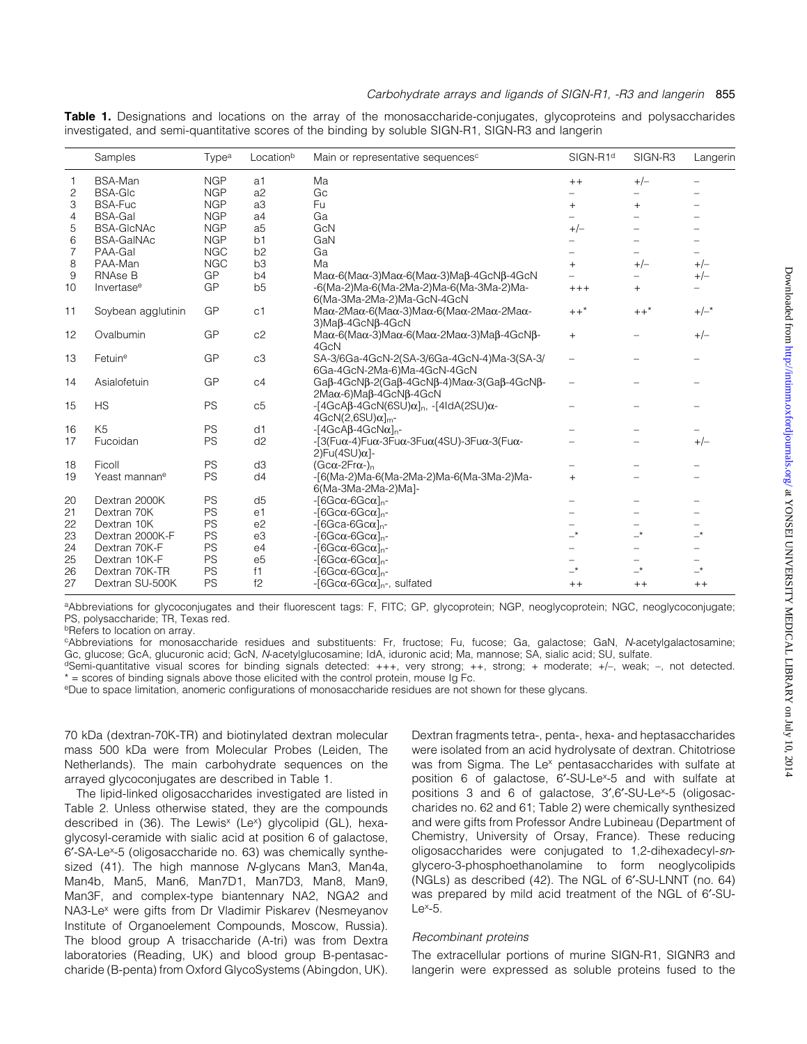|  |  |  | <b>Table 1.</b> Designations and locations on the array of the monosaccharide-conjugates, glycoproteins and polysaccharides |  |  |
|--|--|--|-----------------------------------------------------------------------------------------------------------------------------|--|--|
|  |  |  | investigated, and semi-quantitative scores of the binding by soluble SIGN-R1, SIGN-R3 and langerin                          |  |  |

|                | Samples                   | Type <sup>a</sup> | Locationb      | Main or representative sequences <sup>c</sup>                                                                              | SIGN-R1 <sup>d</sup>       | SIGN-R3                  | Langerin                 |
|----------------|---------------------------|-------------------|----------------|----------------------------------------------------------------------------------------------------------------------------|----------------------------|--------------------------|--------------------------|
| 1              | <b>BSA-Man</b>            | <b>NGP</b>        | a1             | Ma                                                                                                                         | $++$                       | $+/-$                    |                          |
| $\overline{c}$ | <b>BSA-GIc</b>            | <b>NGP</b>        | a2             | Gc                                                                                                                         |                            |                          |                          |
| 3              | <b>BSA-Fuc</b>            | <b>NGP</b>        | a3             | Fu                                                                                                                         | $+$                        | $+$                      |                          |
| 4              | <b>BSA-Gal</b>            | <b>NGP</b>        | a4             | Ga                                                                                                                         |                            |                          |                          |
| 5              | <b>BSA-GICNAC</b>         | <b>NGP</b>        | a <sub>5</sub> | GcN                                                                                                                        | $+/-$                      |                          |                          |
| 6              | <b>BSA-GalNAc</b>         | <b>NGP</b>        | b <sub>1</sub> | GaN                                                                                                                        |                            |                          |                          |
| $\overline{7}$ | PAA-Gal                   | <b>NGC</b>        | b2             | Ga                                                                                                                         |                            |                          |                          |
| 8              | PAA-Man                   | <b>NGC</b>        | b3             | Ma                                                                                                                         | $\ddot{}$                  | $+/-$                    | $+/-$                    |
| 9              | RNAse B                   | GP                | b4             | $M\alpha$ -6(Maα-3)Maα-6(Maα-3)Maβ-4GcNβ-4GcN                                                                              |                            |                          | $+/-$                    |
| 10             | Invertase <sup>e</sup>    | GP                | b <sub>5</sub> | -6(Ma-2)Ma-6(Ma-2Ma-2)Ma-6(Ma-3Ma-2)Ma-<br>6(Ma-3Ma-2Ma-2)Ma-GcN-4GcN                                                      | $+++$                      | $+$                      |                          |
| 11             | Soybean agglutinin        | GP                | C <sub>1</sub> | $M\alpha$ -2Μa $\alpha$ -6(Μa $\alpha$ -3)Μa $\alpha$ -6(Μa $\alpha$ -2Μa $\alpha$ -2Μa $\alpha$ -<br>3) Maβ-4GcNβ-4GcN    | $++$ *                     | $++$ *                   | $+/-$ *                  |
| 12             | Ovalbumin                 | GP                | c2             | $Ma\alpha$ -6(Ma $\alpha$ -3)Ma $\alpha$ -6(Ma $\alpha$ -2Ma $\alpha$ -3)Maβ-4GcNβ-<br>4GcN                                | $+$                        |                          | $+/-$                    |
| 13             | Fetuine                   | GP                | c3             | SA-3/6Ga-4GcN-2(SA-3/6Ga-4GcN-4)Ma-3(SA-3/<br>6Ga-4GcN-2Ma-6)Ma-4GcN-4GcN                                                  | $\equiv$                   |                          |                          |
| 14             | Asialofetuin              | GP                | C <sub>4</sub> | Ga $\beta$ -4GcN $\beta$ -2(Ga $\beta$ -4GcN $\beta$ -4)Ma $\alpha$ -3(Ga $\beta$ -4GcN $\beta$ -<br>2Maα-6)Maβ-4GcNβ-4GcN | $\overline{\phantom{0}}$   |                          |                          |
| 15             | <b>HS</b>                 | PS                | c5             | $-[4GcA\beta-4GcN(6SU)\alpha]_n, -[4IdA(2SU)\alpha-$<br>$4GcN(2.6SU)\alpha]_{m}$ -                                         | $\overline{\phantom{0}}$   |                          |                          |
| 16             | K <sub>5</sub>            | PS                | d1             | $-[4GcAB-4GcNa]_{n}$ -                                                                                                     |                            |                          |                          |
| 17             | Fucoidan                  | PS                | d2             | $-$ [3(Fu $\alpha$ -4)Fu $\alpha$ -3Fu $\alpha$ -3Fu $\alpha$ (4SU)-3Fu $\alpha$ -3(Fu $\alpha$ -<br>$2)Fu(4SU)\alpha$ ]-  |                            |                          | $+/-$                    |
| 18             | Ficoll                    | PS                | d <sub>3</sub> | $(Gc\alpha-2Fr\alpha)_{n}$                                                                                                 |                            |                          |                          |
| 19             | Yeast mannan <sup>e</sup> | PS                | d4             | -[6(Ma-2)Ma-6(Ma-2Ma-2)Ma-6(Ma-3Ma-2)Ma-<br>6(Ma-3Ma-2Ma-2)Ma]-                                                            | $+$                        |                          |                          |
| 20             | Dextran 2000K             | PS                | d <sub>5</sub> | $-[6Gc\alpha-6Gc\alpha]_n$ -                                                                                               |                            |                          |                          |
| 21             | Dextran 70K               | PS                | e <sub>1</sub> | $-[6Gc\alpha-6Gc\alpha]_{n}$ -                                                                                             |                            |                          |                          |
| 22             | Dextran 10K               | PS                | e <sub>2</sub> | $-[6Gca-6Gca]_n$ -                                                                                                         |                            |                          |                          |
| 23             | Dextran 2000K-F           | PS                | e3             | $-[6Gc\alpha-6Gc\alpha]_n-$                                                                                                | $\overline{\phantom{0}}$   | $\overline{\phantom{0}}$ | $\overline{\phantom{a}}$ |
| 24             | Dextran 70K-F             | PS                | e4             | $-[6Gc\alpha-6Gc\alpha]_{n}$ -                                                                                             |                            |                          |                          |
| 25             | Dextran 10K-F             | PS                | e <sub>5</sub> | $-[6Gc\alpha-6Gc\alpha]_{n}$ -                                                                                             |                            |                          |                          |
| 26             | Dextran 70K-TR            | PS                | f1             | $-[6Gc\alpha-6Gc\alpha]_{n}$ -                                                                                             | $\overline{\phantom{0}}^*$ | $\rightarrow$            | $\overline{\phantom{0}}$ |
| 27             | Dextran SU-500K           | PS                | f2             | $-$ [6Gc $\alpha$ -6Gc $\alpha$ ] <sub>n</sub> -, sulfated                                                                 | $++$                       | $++$                     | $++$                     |

aAbbreviations for glycoconjugates and their fluorescent tags: F, FITC; GP, glycoprotein; NGP, neoglycoprotein; NGC, neoglycoconjugate; PS, polysaccharide; TR, Texas red.

**bRefers to location on array.** 

cAbbreviations for monosaccharide residues and substituents: Fr, fructose; Fu, fucose; Ga, galactose; GaN, N-acetylgalactosamine; Gc, glucose; GcA, glucuronic acid; GcN, N-acetylglucosamine; IdA, iduronic acid; Ma, mannose; SA, sialic acid; SU, sulfate.

dSemi-quantitative visual scores for binding signals detected: +++, very strong; ++, strong; + moderate; +/-, weak; -, not detected. \* = scores of binding signals above those elicited with the control protein, mouse Ig Fc.

eDue to space limitation, anomeric configurations of monosaccharide residues are not shown for these glycans.

70 kDa (dextran-70K-TR) and biotinylated dextran molecular mass 500 kDa were from Molecular Probes (Leiden, The Netherlands). The main carbohydrate sequences on the arrayed glycoconjugates are described in Table 1.

The lipid-linked oligosaccharides investigated are listed in Table 2. Unless otherwise stated, they are the compounds described in (36). The Lewis<sup>x</sup> (Le<sup>x</sup>) glycolipid (GL), hexaglycosyl-ceramide with sialic acid at position 6 of galactose, 6¢-SA-Lex-5 (oligosaccharide no. 63) was chemically synthesized (41). The high mannose N-glycans Man3, Man4a, Man4b, Man5, Man6, Man7D1, Man7D3, Man8, Man9, Man3F, and complex-type biantennary NA2, NGA2 and NA3-Le<sup>x</sup> were gifts from Dr Vladimir Piskarev (Nesmeyanov Institute of Organoelement Compounds, Moscow, Russia). The blood group A trisaccharide (A-tri) was from Dextra laboratories (Reading, UK) and blood group B-pentasaccharide (B-penta) from Oxford GlycoSystems (Abingdon, UK).

Dextran fragments tetra-, penta-, hexa- and heptasaccharides were isolated from an acid hydrolysate of dextran. Chitotriose was from Sigma. The Le<sup>x</sup> pentasaccharides with sulfate at position 6 of galactose, 6'-SU-Le<sup>x</sup>-5 and with sulfate at positions 3 and 6 of galactose, 3',6'-SU-Le<sup>x</sup>-5 (oligosaccharides no. 62 and 61; Table 2) were chemically synthesized and were gifts from Professor Andre Lubineau (Department of Chemistry, University of Orsay, France). These reducing oligosaccharides were conjugated to 1,2-dihexadecyl-snglycero-3-phosphoethanolamine to form neoglycolipids (NGLs) as described  $(42)$ . The NGL of  $6'$ -SU-LNNT (no.  $64$ ) was prepared by mild acid treatment of the NGL of 6'-SU- $Le^{x}$ -5.

## Recombinant proteins

The extracellular portions of murine SIGN-R1, SIGNR3 and langerin were expressed as soluble proteins fused to the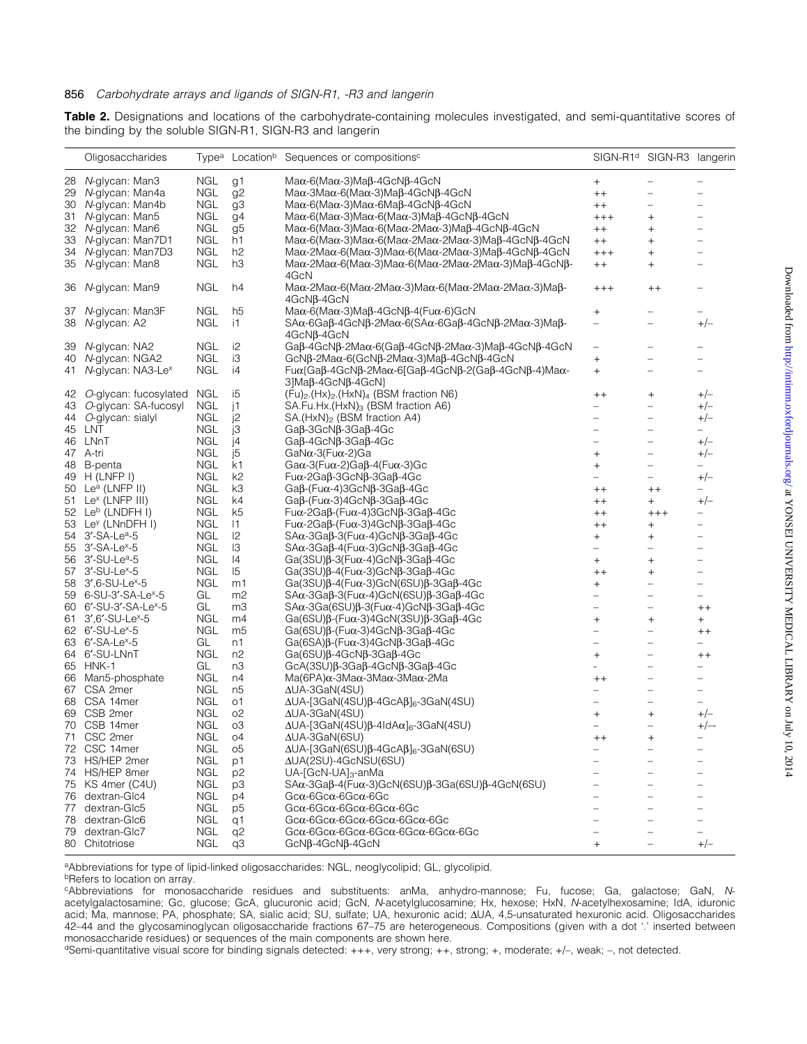Table 2. Designations and locations of the carbohydrate-containing molecules investigated, and semi-quantitative scores of the binding by the soluble SIGN-R1, SIGN-R3 and langerin

|    | Oligosaccharides                  |            |                | Type <sup>a</sup> Location <sup>b</sup> Sequences or compositions <sup>c</sup>                                                        | SIGN-R1 <sup>d</sup>             | SIGN-R3 langerin                 |                          |
|----|-----------------------------------|------------|----------------|---------------------------------------------------------------------------------------------------------------------------------------|----------------------------------|----------------------------------|--------------------------|
| 28 | N-glycan: Man3                    | <b>NGL</b> | g1             | $Ma\alpha$ -6(Ma $\alpha$ -3)Maβ-4GcNβ-4GcN                                                                                           | $^{+}$                           | -                                |                          |
| 29 | N-glycan: Man4a                   | NGL        | g <sub>2</sub> | $M$ aα-3 $M$ aα-6(Maα-3) $M$ aβ-4GcNβ-4GcN                                                                                            | $++$                             | $\equiv$                         |                          |
|    | 30 N-glycan: Man4b                | <b>NGL</b> | g <sub>3</sub> | $Ma\alpha$ -6(Ma $\alpha$ -3)Ma $\alpha$ -6Maβ-4GcNβ-4GcN                                                                             | $++$                             | $\equiv$                         | $\overline{\phantom{0}}$ |
|    | 31 N-glycan: Man5                 | NGL        | g <sub>4</sub> | $Ma\alpha$ -6(Ma $\alpha$ -3)Ma $\alpha$ -6(Ma $\alpha$ -3)Maβ-4GcNβ-4GcN                                                             | $++++$                           | $\ddot{}$                        | -                        |
|    | 32 N-glycan: Man6                 | NGL        | g <sub>5</sub> | $Ma\alpha$ -6(Ma $\alpha$ -3)Ma $\alpha$ -6(Ma $\alpha$ -2Ma $\alpha$ -3)Maβ-4GcNβ-4GcN                                               | $++$                             | $\begin{array}{c} + \end{array}$ | -                        |
|    |                                   | NGL        | h1             |                                                                                                                                       |                                  |                                  |                          |
| 33 | N-glycan: Man7D1                  |            |                | Maα-6(Maα-3)Maα-6(Maα-2Maα-2Maα-3)Maβ-4GcNβ-4GcN                                                                                      | $++$                             | $\ddot{}$                        | -                        |
|    | 34 N-glycan: Man7D3               | NGL        | h2             | Maα-2Maα-6(Maα-3)Maα-6(Maα-2Maα-3)Maβ-4GcNβ-4GcN                                                                                      | $++++$                           | $\ddot{}$                        | -                        |
| 35 | N-glycan: Man8                    | NGL        | hЗ             | Maα-2Maα-6(Maα-3)Maα-6(Maα-2Maα-2Maα-3)Maβ-4GcNβ-<br>4GcN                                                                             | $++$                             | $+$                              |                          |
| 36 | N-glycan: Man9                    | <b>NGL</b> | h4             | $Ma\alpha$ -2Μa $\alpha$ -6(Ma $\alpha$ -2Μa $\alpha$ -3)Μa $\alpha$ -6(Ma $\alpha$ -2Μa $\alpha$ -2Μa $\alpha$ -3)Μaβ-<br>4GcNβ-4GcN | $++++$                           | $++$                             | $\equiv$                 |
|    | 37 N-glycan: Man3F                | <b>NGL</b> | h5             | Maα-6(Maα-3)Maβ-4GcNβ-4(Fuα-6)GcN                                                                                                     | $^{+}$                           | -                                | $\qquad \qquad$          |
|    | 38 N-glycan: A2                   | <b>NGL</b> | i1             | $SAα-6Gaβ-4GcNβ-2Maα-6(SAα-6Gaβ-4GcNβ-2Maα-3)Maβ-$                                                                                    | $\overline{\phantom{0}}$         | -                                | $+/-$                    |
|    |                                   |            |                | 4GcNβ-4GcN                                                                                                                            |                                  |                                  |                          |
|    | 39 N-glycan: NA2                  | <b>NGL</b> | i2             | Ga $\beta$ -4GcN $\beta$ -2Ma $\alpha$ -6(Ga $\beta$ -4GcN $\beta$ -2Ma $\alpha$ -3)Ma $\beta$ -4GcN $\beta$ -4GcN                    | $\equiv$                         | $\overline{\phantom{0}}$         |                          |
|    | 40 N-glycan: NGA2                 | <b>NGL</b> | iЗ             | GcNβ-2Maα-6(GcNβ-2Maα-3)Maβ-4GcNβ-4GcN                                                                                                | $^{+}$                           | $\overline{a}$                   |                          |
|    | 41 N-glycan: NA3-Le <sup>x</sup>  | <b>NGL</b> | i4             | $Fuα$ {Gaβ-4GcNβ-2Ma $α$ -6[Gaβ-4GcNβ-2(Gaβ-4GcNβ-4)Ma $α$ -                                                                          | $^{+}$                           | $\overline{\phantom{0}}$         | $\overline{\phantom{0}}$ |
|    |                                   |            |                | 3]Maβ-4GcNβ-4GcN}                                                                                                                     |                                  |                                  |                          |
|    | 42 O-glycan: fucosylated NGL      |            | i5             | $(Fu)_2$ . $(Hx)_2$ . $(HxN)_4$ (BSM fraction N6)                                                                                     | $++$                             | $\begin{array}{c} + \end{array}$ | $+/-$                    |
| 43 | O-glycan: SA-fucosyl              | NGL        | j1             | SA.Fu.Hx.(HxN) <sub>3</sub> (BSM fraction A6)                                                                                         | -                                | $\overline{\phantom{0}}$         | $+/-$                    |
|    | 44 O-glycan: sialyl               | NGL        | j2             | $SA.(HxN)_{2}$ (BSM fraction A4)                                                                                                      | -                                | $\qquad \qquad -$                | $+/-$                    |
|    | 45 LNT                            | <b>NGL</b> | jЗ             | Gaß-3GcNß-3Gaß-4Gc                                                                                                                    | $\equiv$                         | $\equiv$                         | $-$                      |
|    | 46 LNnT                           | <b>NGL</b> | j4             | Gaβ-4GcNβ-3Gaβ-4Gc                                                                                                                    | $\equiv$                         | $\overline{\phantom{0}}$         | $+/-$                    |
|    | 47 A-tri                          | <b>NGL</b> | j5             | GaNα-3(Fuα-2)Ga                                                                                                                       | $^{+}$                           | $\equiv$                         | $+/-$                    |
| 48 | B-penta                           | <b>NGL</b> | k1             | Ga $\alpha$ -3(Fu $\alpha$ -2)Ga $\beta$ -4(Fu $\alpha$ -3)Gc                                                                         | $^{+}$                           | -                                | $\equiv$                 |
|    | 49 H (LNFP I)                     | <b>NGL</b> | k <sub>2</sub> | Fuα-2Gaβ-3GcNβ-3Gaβ-4Gc                                                                                                               | -                                | -                                | $+/-$                    |
|    | 50 Le <sup>a</sup> (LNFP II)      | NGL        | kЗ             | $Ga\beta$ -(Fu $\alpha$ -4)3GcN $\beta$ -3Ga $\beta$ -4Gc                                                                             | $+ +$                            | $++$                             | $\overline{\phantom{0}}$ |
|    | 51 Le <sup>x</sup> (LNFP III)     | <b>NGL</b> | k4             | Ga $\beta$ -(Fu $\alpha$ -3)4GcN $\beta$ -3Ga $\beta$ -4Gc                                                                            |                                  |                                  | $+/-$                    |
|    | 52 Le <sup>b</sup> (LNDFH I)      | <b>NGL</b> |                |                                                                                                                                       | $++$                             | $+$                              |                          |
|    |                                   |            | k5             | $Fu\alpha$ -2Ga $\beta$ -(Fu $\alpha$ -4)3GcN $\beta$ -3Ga $\beta$ -4Gc                                                               | $++$                             | $^{+++}$                         | -                        |
|    | 53 Le <sup>y</sup> (LNnDFH I)     | <b>NGL</b> | $\vert$ 1      | Fuα-2Gaβ-(Fuα-3)4GcNβ-3Gaβ-4Gc                                                                                                        | $++$                             | $\begin{array}{c} + \end{array}$ | $\overline{\phantom{0}}$ |
|    | 54 3'-SA-Lea-5                    | <b>NGL</b> | 2              | $SA\alpha$ -3Ga $\beta$ -3(Fu $\alpha$ -4)GcN $\beta$ -3Ga $\beta$ -4Gc                                                               | $^{+}$                           | $\begin{array}{c} + \end{array}$ | $\overline{\phantom{0}}$ |
|    | 55 3'-SA-Le <sup>x</sup> -5       | <b>NGL</b> | I3             | $SA\alpha$ -3Ga $\beta$ -4(Fu $\alpha$ -3)GcN $\beta$ -3Ga $\beta$ -4Gc                                                               | -                                | -                                | $\overline{\phantom{0}}$ |
|    | 56 3'-SU-Le <sup>a</sup> -5       | <b>NGL</b> | 14             | $Ga(3SU)\beta$ -3(Fu $\alpha$ -4)GcN $\beta$ -3Ga $\beta$ -4Gc                                                                        | $^{+}$                           | $\begin{array}{c} + \end{array}$ | -                        |
|    | 57 3'-SU-Le <sup>x</sup> -5       | <b>NGL</b> | $\overline{5}$ | $Ga(3SU)\beta$ -4(Fu $\alpha$ -3)GcN $\beta$ -3Ga $\beta$ -4Gc                                                                        | $++$                             | $\begin{array}{c} + \end{array}$ | -                        |
|    | 58 3', 6-SU-Le <sup>x</sup> -5    | <b>NGL</b> | m1             | Ga(3SU) $\beta$ -4(Fu $\alpha$ -3)GcN(6SU) $\beta$ -3Ga $\beta$ -4Gc                                                                  | $\begin{array}{c} + \end{array}$ | -                                | -                        |
|    | 59 6-SU-3'-SA-Le <sup>x</sup> -5  | GL         | m2             | SAα-3Gaβ-3(Fuα-4)GcN(6SU)β-3Gaβ-4Gc                                                                                                   | $\overline{\phantom{0}}$         | $\qquad \qquad -$                | -                        |
|    | 60 6'-SU-3'-SA-Le <sup>x</sup> -5 | GL         | mЗ             | $SA\alpha$ -3Ga(6SU) $\beta$ -3(Fu $\alpha$ -4)GcN $\beta$ -3Ga $\beta$ -4Gc                                                          | -                                | -                                | $++$                     |
|    | 61 3',6'-SU-Le <sup>x</sup> -5    | <b>NGL</b> | m4             | Ga(6SU) $\beta$ -(Fu $\alpha$ -3)4GcN(3SU) $\beta$ -3Ga $\beta$ -4Gc                                                                  | $\qquad \qquad +$                | $\begin{array}{c} + \end{array}$ | $+$                      |
|    | 62 6'-SU-Le <sup>x</sup> -5       | NGL        | m5             | Ga $(6SU)\beta$ -(Fu $\alpha$ -3)4GcN $\beta$ -3Ga $\beta$ -4Gc                                                                       | -                                | -                                | $++$                     |
|    | 63 6'-SA-Le <sup>x</sup> -5       | GL         | n1             | Ga(6SA) $\beta$ -(Fu $\alpha$ -3)4GcN $\beta$ -3Ga $\beta$ -4Gc                                                                       | -                                | -                                | -                        |
|    | 64 6'-SU-LNnT                     | <b>NGL</b> | n <sub>2</sub> | $Ga(6SU)\beta$ -4GcN $\beta$ -3Ga $\beta$ -4Gc                                                                                        | $^{+}$                           | -                                | $+ +$                    |
|    | 65 HNK-1                          | GL         | nЗ             | $GcA(3SU)\beta$ -3Ga $\beta$ -4GcN $\beta$ -3Ga $\beta$ -4Gc                                                                          | $\frac{1}{2}$                    | $\overline{a}$                   | -                        |
|    | 66 Man5-phosphate                 | NGL        | n4             | Ma(6PA) $\alpha$ -3Ma $\alpha$ -3Ma $\alpha$ -3Ma $\alpha$ -2Ma                                                                       |                                  | -                                | $\overline{\phantom{0}}$ |
|    |                                   | <b>NGL</b> |                | $\triangle$ UA-3GaN(4SU)                                                                                                              | $^{\mathrm{+}}$                  | $\overline{\phantom{0}}$         |                          |
|    | 67 CSA 2mer                       |            | n5             |                                                                                                                                       | -                                |                                  | -                        |
|    | 68 CSA 14mer                      | NGL        | о1             | $\Delta$ UA-[3GaN(4SU) $\beta$ -4GcA $\beta$ ] <sub>6</sub> -3GaN(4SU)                                                                | -                                | -                                | $\overline{\phantom{0}}$ |
|    | 69 CSB 2mer                       | <b>NGL</b> | O <sub>2</sub> | $\Delta$ UA-3GaN(4SU)                                                                                                                 | $+$                              | $\begin{array}{c} + \end{array}$ | $+/-$                    |
|    | 70 CSB 14mer                      | <b>NGL</b> | o3             | $\Delta$ UA-[3GaN(4SU)β-4IdA $\alpha$ ] <sub>6</sub> -3GaN(4SU)                                                                       | -                                | -                                | $+/--$                   |
|    | 71 CSC 2mer                       | <b>NGL</b> | O <sub>4</sub> | ∆UA-3GaN(6SU)                                                                                                                         | $++$                             |                                  |                          |
|    | 72 CSC 14mer                      | NGL        | o5             | $\Delta$ UA-[3GaN(6SU) $\beta$ -4GcA $\beta$ ] <sub>6</sub> -3GaN(6SU)                                                                | -                                |                                  |                          |
|    | 73 HS/HEP 2mer                    | NGL        | p1             | ΔUA(2SU)-4GcNSU(6SU)                                                                                                                  |                                  |                                  |                          |
|    | 74 HS/HEP 8mer                    | NGL        | p <sub>2</sub> | $UA$ -[GcN-UA] $_3$ -anMa                                                                                                             |                                  |                                  |                          |
|    | 75 KS 4mer (C4U)                  | NGL        | p3             | $SA\alpha$ -3Ga $\beta$ -4(Fu $\alpha$ -3)GcN(6SU) $\beta$ -3Ga(6SU) $\beta$ -4GcN(6SU)                                               |                                  |                                  |                          |
|    | 76 dextran-Glc4                   | NGL        | p4             | $Gca-6Gca-6Gca-6Gc$                                                                                                                   |                                  |                                  |                          |
|    | 77 dextran-Glc5                   | NGL        | p5             | $Gc\alpha$ -6 $Gc\alpha$ -6 $Gc\alpha$ -6 $Gc\alpha$ -6 $Gc$                                                                          |                                  |                                  |                          |
| 78 | dextran-Glc6                      | NGL        | q1             | Gc $\alpha$ -6Gc $\alpha$ -6Gc $\alpha$ -6Gc $\alpha$ -6Gc $\alpha$ -6Gc                                                              |                                  | $\overline{\phantom{0}}$         |                          |
| 79 | dextran-Glc7                      | NGL        | q <sub>2</sub> | Gca-6Gca-6Gca-6Gca-6Gca-6Gca-6Gca                                                                                                     |                                  | L.                               |                          |
|    | 80 Chitotriose                    | NGL        | qЗ             | GcNβ-4GcNβ-4GcN                                                                                                                       | $\pm$                            | $\overline{\phantom{0}}$         | $+/-$                    |
|    |                                   |            |                |                                                                                                                                       |                                  |                                  |                          |

aAbbreviations for type of lipid-linked oligosaccharides: NGL, neoglycolipid; GL, glycolipid.

**bRefers to location on array.** 

cAbbreviations for monosaccharide residues and substituents: anMa, anhydro-mannose; Fu, fucose; Ga, galactose; GaN, Nacetylgalactosamine; Gc, glucose; GcA, glucuronic acid; GcN, N-acetylglucosamine; Hx, hexose; HxN, N-acetylhexosamine; IdA, iduronic acid; Ma, mannose; PA, phosphate; SA, sialic acid; SU, sulfate; UA, hexuronic acid;  $\Delta$ UA, 4,5-unsaturated hexuronic acid. Oligosaccharides 42-44 and the glycosaminoglycan oligosaccharide fractions 67-75 are heterogeneous. Compositions (given with a dot '.' inserted between monosaccharide residues) or sequences of the main components are shown here.

dSemi-quantitative visual score for binding signals detected: +++, very strong; ++, strong; +, moderate; +/-, weak; -, not detected.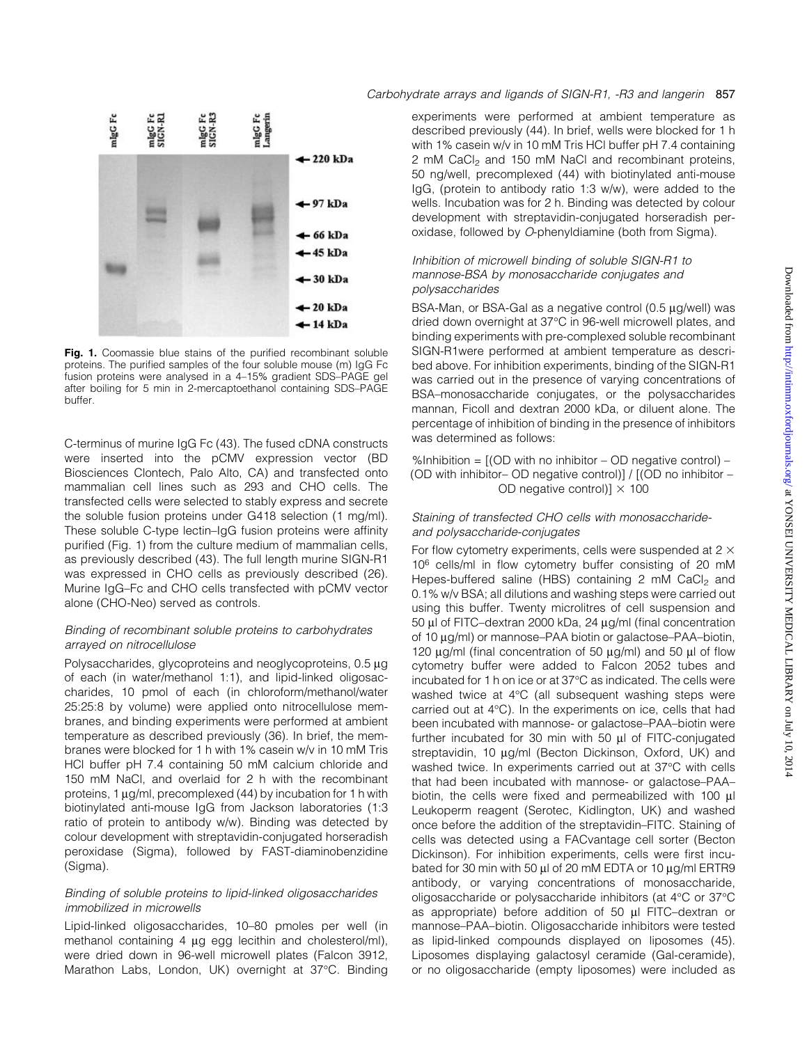

Fig. 1. Coomassie blue stains of the purified recombinant soluble proteins. The purified samples of the four soluble mouse (m) IgG Fc fusion proteins were analysed in a 4-15% gradient SDS-PAGE gel after boiling for 5 min in 2-mercaptoethanol containing SDS-PAGE buffer.

C-terminus of murine IgG Fc (43). The fused cDNA constructs were inserted into the pCMV expression vector (BD Biosciences Clontech, Palo Alto, CA) and transfected onto mammalian cell lines such as 293 and CHO cells. The transfected cells were selected to stably express and secrete the soluble fusion proteins under G418 selection (1 mg/ml). These soluble C-type lectin-IgG fusion proteins were affinity purified (Fig. 1) from the culture medium of mammalian cells, as previously described (43). The full length murine SIGN-R1 was expressed in CHO cells as previously described (26). Murine IgG-Fc and CHO cells transfected with pCMV vector alone (CHO-Neo) served as controls.

## Binding of recombinant soluble proteins to carbohydrates arrayed on nitrocellulose

Polysaccharides, glycoproteins and neoglycoproteins,  $0.5 \mu g$ of each (in water/methanol 1:1), and lipid-linked oligosaccharides, 10 pmol of each (in chloroform/methanol/water 25:25:8 by volume) were applied onto nitrocellulose membranes, and binding experiments were performed at ambient temperature as described previously (36). In brief, the membranes were blocked for 1 h with 1% casein w/v in 10 mM Tris HCl buffer pH 7.4 containing 50 mM calcium chloride and 150 mM NaCl, and overlaid for 2 h with the recombinant proteins,  $1 \mu g/ml$ , precomplexed (44) by incubation for 1 h with biotinylated anti-mouse IgG from Jackson laboratories (1:3 ratio of protein to antibody w/w). Binding was detected by colour development with streptavidin-conjugated horseradish peroxidase (Sigma), followed by FAST-diaminobenzidine (Sigma).

#### Binding of soluble proteins to lipid-linked oligosaccharides immobilized in microwells

Lipid-linked oligosaccharides, 10-80 pmoles per well (in methanol containing 4 µg egg lecithin and cholesterol/ml), were dried down in 96-well microwell plates (Falcon 3912, Marathon Labs, London, UK) overnight at 37°C. Binding

## Carbohydrate arrays and ligands of SIGN-R1, -R3 and langerin 857

experiments were performed at ambient temperature as described previously (44). In brief, wells were blocked for 1 h with 1% casein w/v in 10 mM Tris HCl buffer pH 7.4 containing 2 mM CaCl<sub>2</sub> and 150 mM NaCl and recombinant proteins, 50 ng/well, precomplexed (44) with biotinylated anti-mouse IgG, (protein to antibody ratio 1:3 w/w), were added to the wells. Incubation was for 2 h. Binding was detected by colour development with streptavidin-conjugated horseradish peroxidase, followed by O-phenyldiamine (both from Sigma).

## Inhibition of microwell binding of soluble SIGN-R1 to mannose-BSA by monosaccharide conjugates and polysaccharides

BSA-Man, or BSA-Gal as a negative control  $(0.5 \mu g/well)$  was dried down overnight at 37°C in 96-well microwell plates, and binding experiments with pre-complexed soluble recombinant SIGN-R1were performed at ambient temperature as described above. For inhibition experiments, binding of the SIGN-R1 was carried out in the presence of varying concentrations of BSA-monosaccharide conjugates, or the polysaccharides mannan, Ficoll and dextran 2000 kDa, or diluent alone. The percentage of inhibition of binding in the presence of inhibitors was determined as follows:

%Inhibition =  $[(OD with no inhibitor – OD negative control) –$ (OD with inhibitor- OD negative control)] /  $[(OD$  no inhibitor -OD negative control)]  $\times$  100

#### Staining of transfected CHO cells with monosaccharideand polysaccharide-conjugates

For flow cytometry experiments, cells were suspended at  $2 \times$ 10<sup>6</sup> cells/ml in flow cytometry buffer consisting of 20 mM Hepes-buffered saline (HBS) containing 2 mM CaCl<sub>2</sub> and 0.1% w/v BSA; all dilutions and washing steps were carried out using this buffer. Twenty microlitres of cell suspension and 50  $\mu$ l of FITC-dextran 2000 kDa, 24  $\mu$ g/ml (final concentration of 10 µg/ml) or mannose-PAA biotin or galactose-PAA-biotin, 120  $\mu$ g/ml (final concentration of 50  $\mu$ g/ml) and 50  $\mu$ l of flow cytometry buffer were added to Falcon 2052 tubes and incubated for 1 h on ice or at 37°C as indicated. The cells were washed twice at 4°C (all subsequent washing steps were carried out at 4°C). In the experiments on ice, cells that had been incubated with mannose- or galactose-PAA-biotin were further incubated for 30 min with 50 µl of FITC-conjugated streptavidin, 10 µg/ml (Becton Dickinson, Oxford, UK) and washed twice. In experiments carried out at 37°C with cells that had been incubated with mannose- or galactose-PAAbiotin, the cells were fixed and permeabilized with 100 µl Leukoperm reagent (Serotec, Kidlington, UK) and washed once before the addition of the streptavidin-FITC. Staining of cells was detected using a FACvantage cell sorter (Becton Dickinson). For inhibition experiments, cells were first incubated for 30 min with 50  $\mu$ I of 20 mM EDTA or 10  $\mu$ g/mI ERTR9 antibody, or varying concentrations of monosaccharide, oligosaccharide or polysaccharide inhibitors (at 4°C or 37°C as appropriate) before addition of 50  $\mu$ l FITC-dextran or mannose-PAA-biotin. Oligosaccharide inhibitors were tested as lipid-linked compounds displayed on liposomes (45). Liposomes displaying galactosyl ceramide (Gal-ceramide), or no oligosaccharide (empty liposomes) were included as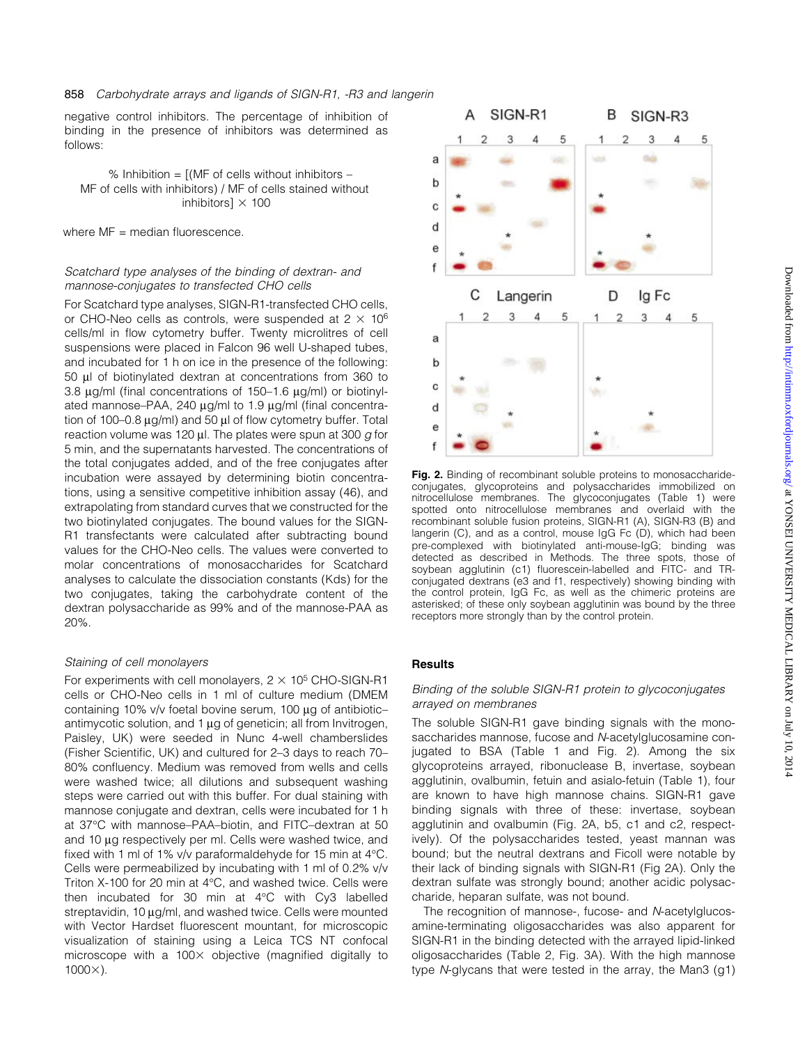negative control inhibitors. The percentage of inhibition of binding in the presence of inhibitors was determined as follows:

% Inhibition =  $[(MF of cells without inhibitors –$ MF of cells with inhibitors) / MF of cells stained without inhibitors]  $\times$  100

where  $MF =$  median fluorescence.

## Scatchard type analyses of the binding of dextran- and mannose-conjugates to transfected CHO cells

For Scatchard type analyses, SIGN-R1-transfected CHO cells, or CHO-Neo cells as controls, were suspended at  $2 \times 10^6$ cells/ml in flow cytometry buffer. Twenty microlitres of cell suspensions were placed in Falcon 96 well U-shaped tubes, and incubated for 1 h on ice in the presence of the following: 50 ml of biotinylated dextran at concentrations from 360 to 3.8  $\mu$ g/ml (final concentrations of 150-1.6  $\mu$ g/ml) or biotinylated mannose-PAA, 240  $\mu$ g/ml to 1.9  $\mu$ g/ml (final concentration of 100 $-0.8 \mu g/ml$ ) and 50  $\mu$  of flow cytometry buffer. Total reaction volume was 120  $\mu$ l. The plates were spun at 300 g for 5 min, and the supernatants harvested. The concentrations of the total conjugates added, and of the free conjugates after incubation were assayed by determining biotin concentrations, using a sensitive competitive inhibition assay (46), and extrapolating from standard curves that we constructed for the two biotinylated conjugates. The bound values for the SIGN-R1 transfectants were calculated after subtracting bound values for the CHO-Neo cells. The values were converted to molar concentrations of monosaccharides for Scatchard analyses to calculate the dissociation constants (Kds) for the two conjugates, taking the carbohydrate content of the dextran polysaccharide as 99% and of the mannose-PAA as 20%.

## Staining of cell monolayers

For experiments with cell monolayers,  $2 \times 10^5$  CHO-SIGN-R1 cells or CHO-Neo cells in 1 ml of culture medium (DMEM containing 10% v/v foetal bovine serum, 100  $\mu$ g of antibioticantimycotic solution, and  $1 \mu$ g of geneticin; all from Invitrogen, Paisley, UK) were seeded in Nunc 4-well chamberslides (Fisher Scientific, UK) and cultured for 2-3 days to reach 70-80% confluency. Medium was removed from wells and cells were washed twice; all dilutions and subsequent washing steps were carried out with this buffer. For dual staining with mannose conjugate and dextran, cells were incubated for 1 h at 37°C with mannose-PAA-biotin, and FITC-dextran at 50 and 10 µg respectively per ml. Cells were washed twice, and fixed with 1 ml of 1% v/v paraformaldehyde for 15 min at 4°C. Cells were permeabilized by incubating with 1 ml of 0.2% v/v Triton X-100 for 20 min at 4°C, and washed twice. Cells were then incubated for 30 min at 4°C with Cy3 labelled streptavidin, 10 µg/ml, and washed twice. Cells were mounted with Vector Hardset fluorescent mountant, for microscopic visualization of staining using a Leica TCS NT confocal microscope with a  $100\times$  objective (magnified digitally to  $1000\times$ ).



Fig. 2. Binding of recombinant soluble proteins to monosaccharideconjugates, glycoproteins and polysaccharides immobilized on nitrocellulose membranes. The glycoconjugates (Table 1) were spotted onto nitrocellulose membranes and overlaid with the recombinant soluble fusion proteins, SIGN-R1 (A), SIGN-R3 (B) and langerin (C), and as a control, mouse IgG Fc (D), which had been pre-complexed with biotinylated anti-mouse-IgG; binding was detected as described in Methods. The three spots, those of soybean agglutinin (c1) fluorescein-labelled and FITC- and TRconjugated dextrans (e3 and f1, respectively) showing binding with the control protein, IgG Fc, as well as the chimeric proteins are asterisked; of these only soybean agglutinin was bound by the three receptors more strongly than by the control protein.

## **Results**

## Binding of the soluble SIGN-R1 protein to glycoconjugates arrayed on membranes

The soluble SIGN-R1 gave binding signals with the monosaccharides mannose, fucose and N-acetylglucosamine conjugated to BSA (Table 1 and Fig. 2). Among the six glycoproteins arrayed, ribonuclease B, invertase, soybean agglutinin, ovalbumin, fetuin and asialo-fetuin (Table 1), four are known to have high mannose chains. SIGN-R1 gave binding signals with three of these: invertase, soybean agglutinin and ovalbumin (Fig. 2A, b5, c1 and c2, respectively). Of the polysaccharides tested, yeast mannan was bound; but the neutral dextrans and Ficoll were notable by their lack of binding signals with SIGN-R1 (Fig 2A). Only the dextran sulfate was strongly bound; another acidic polysaccharide, heparan sulfate, was not bound.

The recognition of mannose-, fucose- and N-acetylglucosamine-terminating oligosaccharides was also apparent for SIGN-R1 in the binding detected with the arrayed lipid-linked oligosaccharides (Table 2, Fig. 3A). With the high mannose type N-glycans that were tested in the array, the Man3 (g1)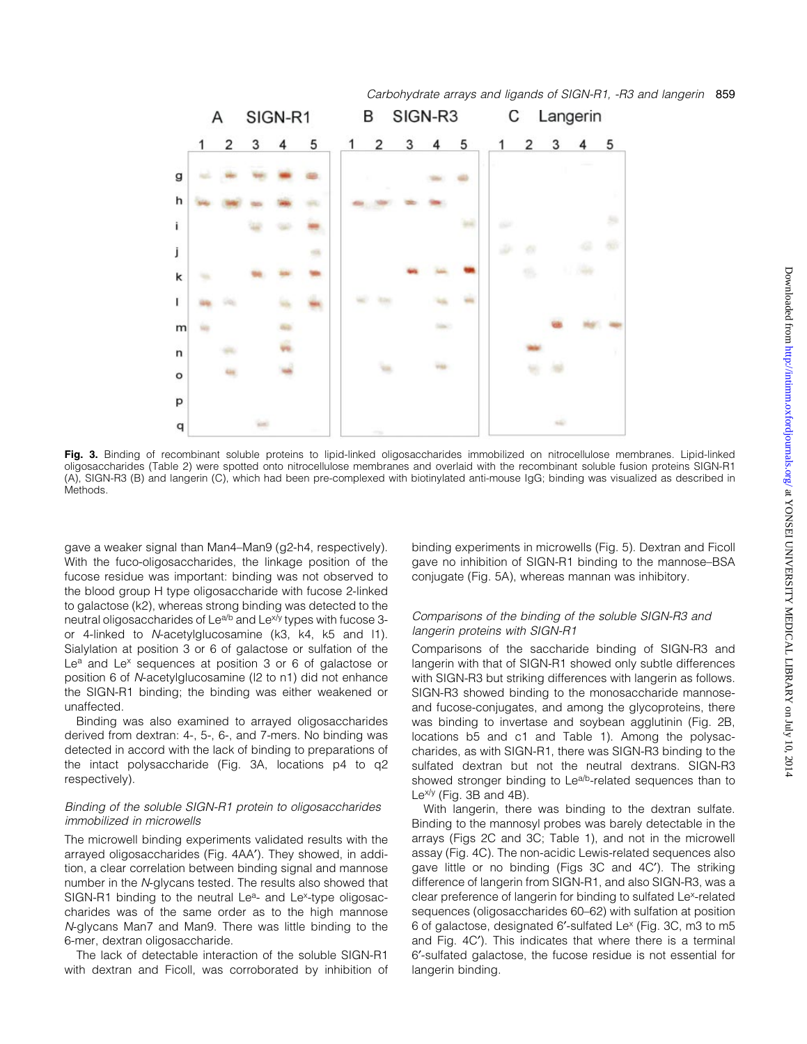

Fig. 3. Binding of recombinant soluble proteins to lipid-linked oligosaccharides immobilized on nitrocellulose membranes. Lipid-linked oligosaccharides (Table 2) were spotted onto nitrocellulose membranes and overlaid with the recombinant soluble fusion proteins SIGN-R1 (A), SIGN-R3 (B) and langerin (C), which had been pre-complexed with biotinylated anti-mouse IgG; binding was visualized as described in **Methods** 

gave a weaker signal than Man4-Man9 (g2-h4, respectively). With the fuco-oligosaccharides, the linkage position of the fucose residue was important: binding was not observed to the blood group H type oligosaccharide with fucose 2-linked to galactose (k2), whereas strong binding was detected to the neutral oligosaccharides of Le<sup>a/b</sup> and Le<sup>x/y</sup> types with fucose 3or 4-linked to N-acetylglucosamine (k3, k4, k5 and l1). Sialylation at position 3 or 6 of galactose or sulfation of the Le<sup>a</sup> and Le<sup>x</sup> sequences at position 3 or 6 of galactose or position 6 of N-acetylglucosamine (l2 to n1) did not enhance the SIGN-R1 binding; the binding was either weakened or unaffected.

Binding was also examined to arrayed oligosaccharides derived from dextran: 4-, 5-, 6-, and 7-mers. No binding was detected in accord with the lack of binding to preparations of the intact polysaccharide (Fig. 3A, locations p4 to q2 respectively).

## Binding of the soluble SIGN-R1 protein to oligosaccharides immobilized in microwells

The microwell binding experiments validated results with the arrayed oligosaccharides (Fig. 4AA'). They showed, in addition, a clear correlation between binding signal and mannose number in the N-glycans tested. The results also showed that SIGN-R1 binding to the neutral Le<sup>a</sup>- and Le<sup>x</sup>-type oligosaccharides was of the same order as to the high mannose N-glycans Man7 and Man9. There was little binding to the 6-mer, dextran oligosaccharide.

The lack of detectable interaction of the soluble SIGN-R1 with dextran and Ficoll, was corroborated by inhibition of binding experiments in microwells (Fig. 5). Dextran and Ficoll gave no inhibition of SIGN-R1 binding to the mannose-BSA conjugate (Fig. 5A), whereas mannan was inhibitory.

## Comparisons of the binding of the soluble SIGN-R3 and langerin proteins with SIGN-R1

Comparisons of the saccharide binding of SIGN-R3 and langerin with that of SIGN-R1 showed only subtle differences with SIGN-R3 but striking differences with langerin as follows. SIGN-R3 showed binding to the monosaccharide mannoseand fucose-conjugates, and among the glycoproteins, there was binding to invertase and soybean agglutinin (Fig. 2B, locations b5 and c1 and Table 1). Among the polysaccharides, as with SIGN-R1, there was SIGN-R3 binding to the sulfated dextran but not the neutral dextrans. SIGN-R3 showed stronger binding to Le<sup>a/b</sup>-related sequences than to  $Le^{x/y}$  (Fig. 3B and 4B).

With langerin, there was binding to the dextran sulfate. Binding to the mannosyl probes was barely detectable in the arrays (Figs 2C and 3C; Table 1), and not in the microwell assay (Fig. 4C). The non-acidic Lewis-related sequences also gave little or no binding (Figs 3C and 4C'). The striking difference of langerin from SIGN-R1, and also SIGN-R3, was a clear preference of langerin for binding to sulfated Le<sup>x</sup>-related sequences (oligosaccharides 60-62) with sulfation at position 6 of galactose, designated 6¢-sulfated Lex (Fig. 3C, m3 to m5 and Fig. 4C'). This indicates that where there is a terminal 6¢-sulfated galactose, the fucose residue is not essential for langerin binding.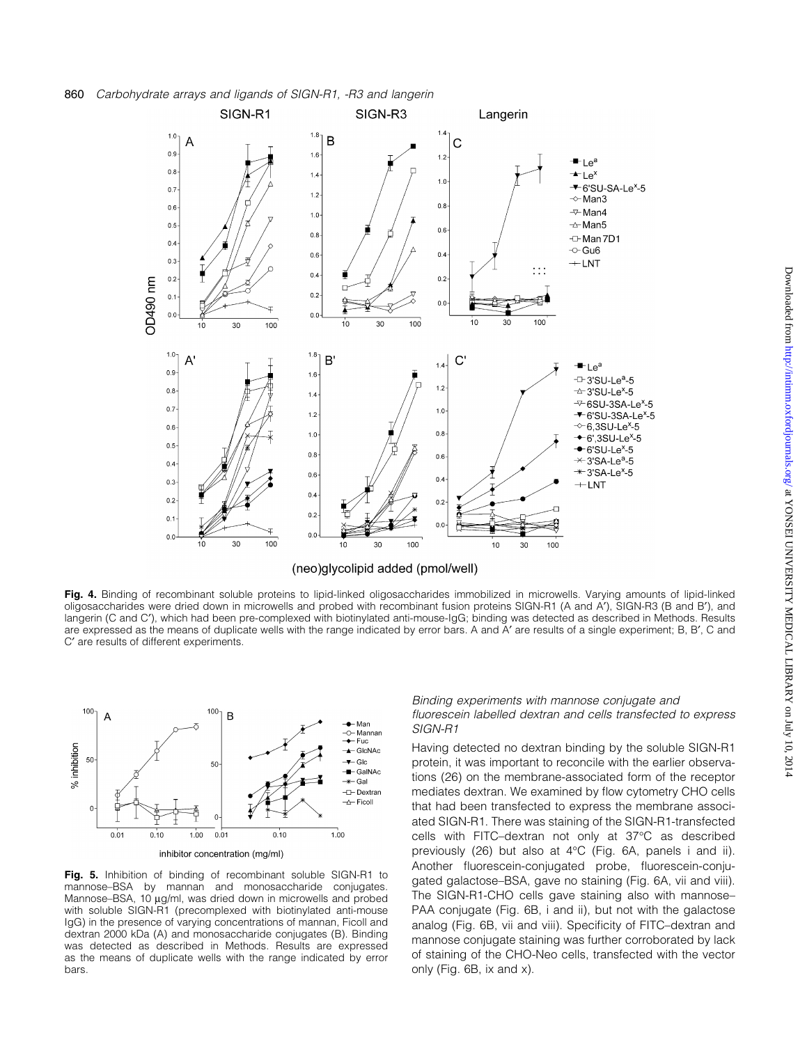

(neo)glycolipid added (pmol/well)

Fig. 4. Binding of recombinant soluble proteins to lipid-linked oligosaccharides immobilized in microwells. Varying amounts of lipid-linked oligosaccharides were dried down in microwells and probed with recombinant fusion proteins SIGN-R1 (A and A'), SIGN-R3 (B and B'), and langerin (C and C'), which had been pre-complexed with biotinylated anti-mouse-IgG; binding was detected as described in Methods. Results are expressed as the means of duplicate wells with the range indicated by error bars. A and A' are results of a single experiment; B, B', C and C' are results of different experiments.



Fig. 5. Inhibition of binding of recombinant soluble SIGN-R1 to mannose-BSA by mannan and monosaccharide conjugates. Mannose-BSA, 10  $\mu$ g/ml, was dried down in microwells and probed with soluble SIGN-R1 (precomplexed with biotinylated anti-mouse IgG) in the presence of varying concentrations of mannan, Ficoll and dextran 2000 kDa (A) and monosaccharide conjugates (B). Binding was detected as described in Methods. Results are expressed as the means of duplicate wells with the range indicated by error bars.

#### Binding experiments with mannose conjugate and fluorescein labelled dextran and cells transfected to express SIGN-R1

Having detected no dextran binding by the soluble SIGN-R1 protein, it was important to reconcile with the earlier observations (26) on the membrane-associated form of the receptor mediates dextran. We examined by flow cytometry CHO cells that had been transfected to express the membrane associated SIGN-R1. There was staining of the SIGN-R1-transfected cells with FITC-dextran not only at 37°C as described previously (26) but also at 4°C (Fig. 6A, panels i and ii). Another fluorescein-conjugated probe, fluorescein-conjugated galactose-BSA, gave no staining (Fig. 6A, vii and viii). The SIGN-R1-CHO cells gave staining also with mannose-PAA conjugate (Fig. 6B, i and ii), but not with the galactose analog (Fig. 6B, vii and viii). Specificity of FITC-dextran and mannose conjugate staining was further corroborated by lack of staining of the CHO-Neo cells, transfected with the vector only (Fig. 6B, ix and x).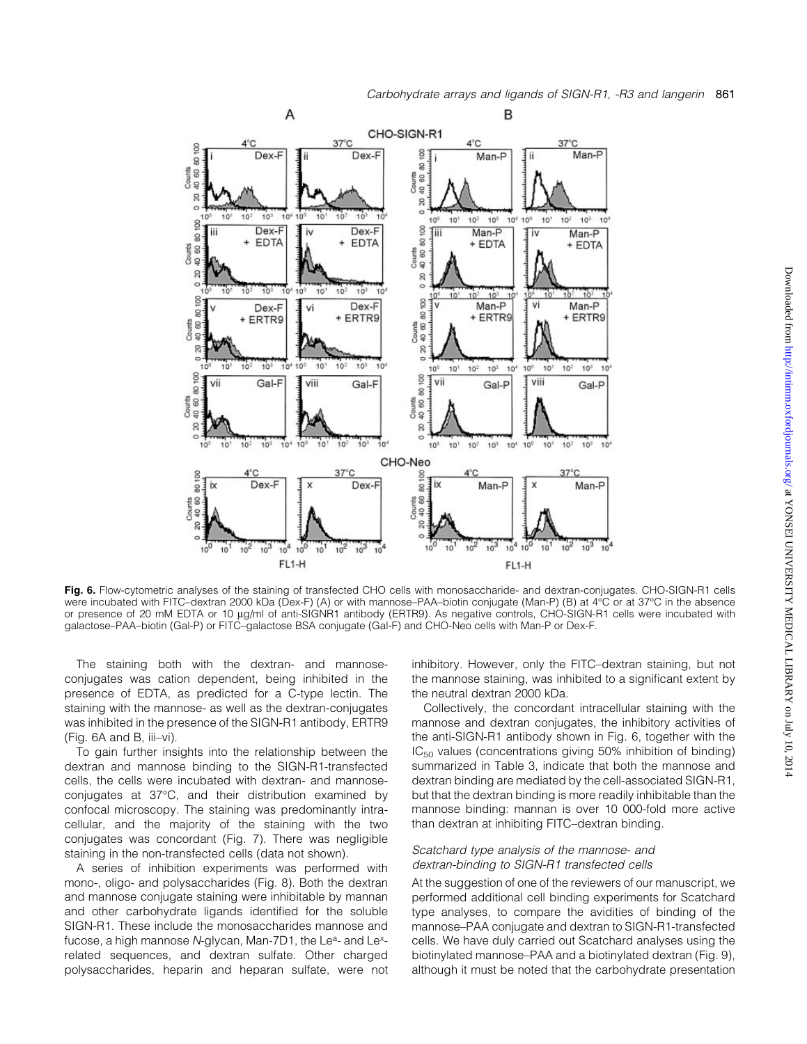

Fig. 6. Flow-cytometric analyses of the staining of transfected CHO cells with monosaccharide- and dextran-conjugates. CHO-SIGN-R1 cells were incubated with FITC-dextran 2000 kDa (Dex-F) (A) or with mannose-PAA-biotin conjugate (Man-P) (B) at 4°C or at 37°C in the absence or presence of 20 mM EDTA or 10 µg/ml of anti-SIGNR1 antibody (ERTR9). As negative controls, CHO-SIGN-R1 cells were incubated with galactose-PAA-biotin (Gal-P) or FITC-galactose BSA conjugate (Gal-F) and CHO-Neo cells with Man-P or Dex-F.

The staining both with the dextran- and mannoseconjugates was cation dependent, being inhibited in the presence of EDTA, as predicted for a C-type lectin. The staining with the mannose- as well as the dextran-conjugates was inhibited in the presence of the SIGN-R1 antibody, ERTR9  $(Fiq. 6A and B, iii-vi).$ 

To gain further insights into the relationship between the dextran and mannose binding to the SIGN-R1-transfected cells, the cells were incubated with dextran- and mannoseconjugates at 37°C, and their distribution examined by confocal microscopy. The staining was predominantly intracellular, and the majority of the staining with the two conjugates was concordant (Fig. 7). There was negligible staining in the non-transfected cells (data not shown).

A series of inhibition experiments was performed with mono-, oligo- and polysaccharides (Fig. 8). Both the dextran and mannose conjugate staining were inhibitable by mannan and other carbohydrate ligands identified for the soluble SIGN-R1. These include the monosaccharides mannose and fucose, a high mannose N-glycan, Man-7D1, the Le<sup>a</sup>- and Le<sup>x</sup>related sequences, and dextran sulfate. Other charged polysaccharides, heparin and heparan sulfate, were not inhibitory. However, only the FITC-dextran staining, but not the mannose staining, was inhibited to a significant extent by the neutral dextran 2000 kDa.

Collectively, the concordant intracellular staining with the mannose and dextran conjugates, the inhibitory activities of the anti-SIGN-R1 antibody shown in Fig. 6, together with the  $IC_{50}$  values (concentrations giving 50% inhibition of binding) summarized in Table 3, indicate that both the mannose and dextran binding are mediated by the cell-associated SIGN-R1, but that the dextran binding is more readily inhibitable than the mannose binding: mannan is over 10 000-fold more active than dextran at inhibiting FITC-dextran binding.

## Scatchard type analysis of the mannose- and dextran-binding to SIGN-R1 transfected cells

At the suggestion of one of the reviewers of our manuscript, we performed additional cell binding experiments for Scatchard type analyses, to compare the avidities of binding of the mannose-PAA conjugate and dextran to SIGN-R1-transfected cells. We have duly carried out Scatchard analyses using the biotinylated mannose-PAA and a biotinylated dextran (Fig. 9), although it must be noted that the carbohydrate presentation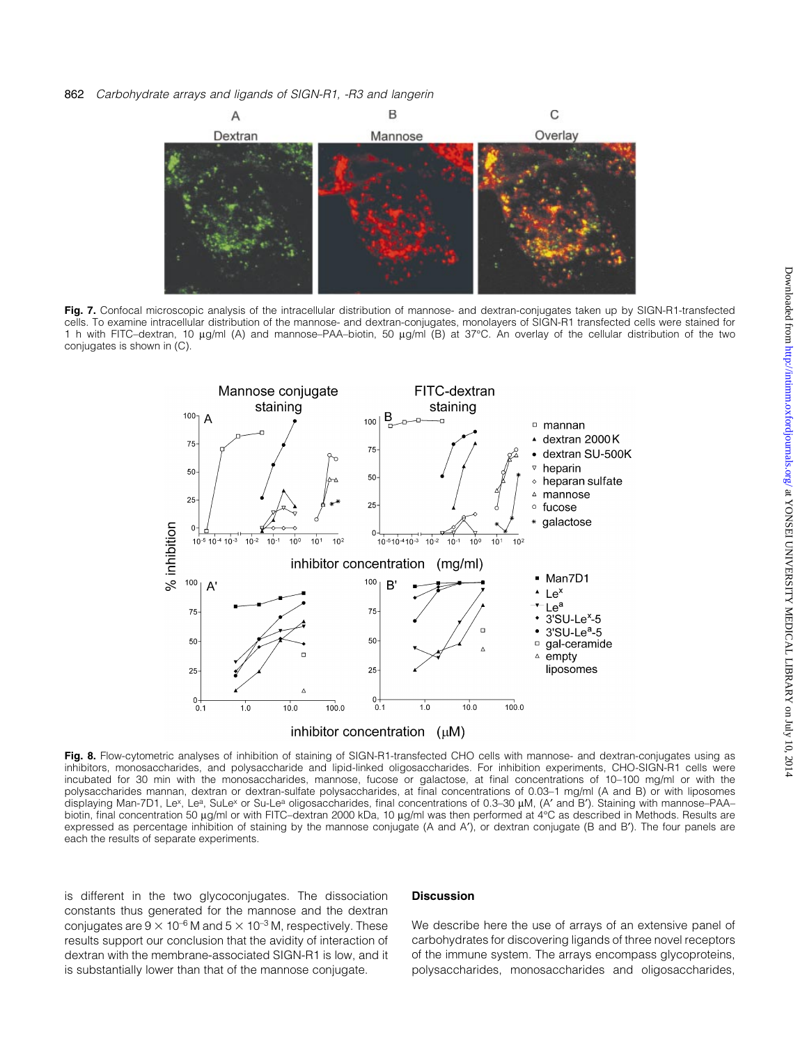

Fig. 7. Confocal microscopic analysis of the intracellular distribution of mannose- and dextran-conjugates taken up by SIGN-R1-transfected cells. To examine intracellular distribution of the mannose- and dextran-conjugates, monolayers of SIGN-R1 transfected cells were stained for 1 h with FITC-dextran, 10 μg/ml (A) and mannose-PAA-biotin, 50 μg/ml (B) at 37°C. An overlay of the cellular distribution of the two conjugates is shown in (C).



Fig. 8. Flow-cytometric analyses of inhibition of staining of SIGN-R1-transfected CHO cells with mannose- and dextran-conjugates using as inhibitors, monosaccharides, and polysaccharide and lipid-linked oligosaccharides. For inhibition experiments, CHO-SIGN-R1 cells were incubated for 30 min with the monosaccharides, mannose, fucose or galactose, at final concentrations of 10-100 mg/ml or with the polysaccharides mannan, dextran or dextran-sulfate polysaccharides, at final concentrations of 0.03-1 mg/ml (A and B) or with liposomes displaying Man-7D1, Le<sup>x</sup>, Le<sup>a</sup>, SuLe<sup>x</sup> or Su-Le<sup>a</sup> oligosaccharides, final concentrations of 0.3-30 µM, (A' and B'). Staining with mannose-PAAbiotin, final concentration 50 µg/ml or with FITC-dextran 2000 kDa, 10 µg/ml was then performed at 4°C as described in Methods. Results are expressed as percentage inhibition of staining by the mannose conjugate (A and A'), or dextran conjugate (B and B'). The four panels are each the results of separate experiments.

is different in the two glycoconjugates. The dissociation constants thus generated for the mannose and the dextran conjugates are  $9 \times 10^{-6}$  M and  $5 \times 10^{-3}$  M, respectively. These results support our conclusion that the avidity of interaction of dextran with the membrane-associated SIGN-R1 is low, and it is substantially lower than that of the mannose conjugate.

#### **Discussion**

We describe here the use of arrays of an extensive panel of carbohydrates for discovering ligands of three novel receptors of the immune system. The arrays encompass glycoproteins, polysaccharides, monosaccharides and oligosaccharides,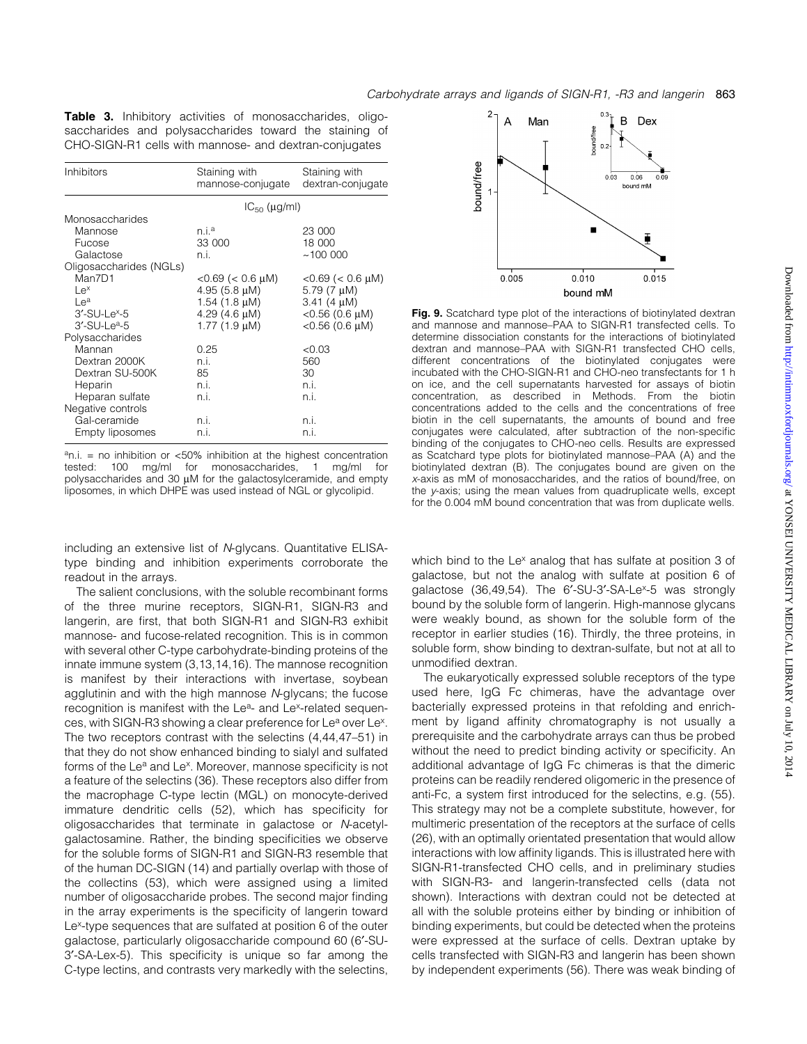|  | <b>Table 3.</b> Inhibitory activities of monosaccharides, oligo- |  |  |  |
|--|------------------------------------------------------------------|--|--|--|
|  | saccharides and polysaccharides toward the staining of           |  |  |  |
|  | CHO-SIGN-R1 cells with mannose- and dextran-conjugates           |  |  |  |

| Inhibitors              | Staining with<br>mannose-conjugate | Staining with<br>dextran-conjugate |
|-------------------------|------------------------------------|------------------------------------|
|                         | $IC_{50}$ ( $\mu$ g/ml)            |                                    |
| Monosaccharides         |                                    |                                    |
| Mannose                 | n.i. <sup>a</sup>                  | 23 000                             |
| Fucose                  | 33 000                             | 18 000                             |
| Galactose               | n.i.                               | ~100~000                           |
| Oligosaccharides (NGLs) |                                    |                                    |
| Man7D1                  | $<$ 0.69 ( $<$ 0.6 $\mu$ M)        | $<$ 0.69 ( $<$ 0.6 $\mu$ M)        |
| $Le^{x}$                | 4.95 $(5.8 \mu M)$                 | 5.79 $(7 \mu M)$                   |
| Le <sup>a</sup>         | 1.54 $(1.8 \mu M)$                 | $3.41$ (4 $\mu$ M)                 |
| $3'$ -SU-Le $x$ -5      | 4.29 $(4.6 \mu M)$                 | $<$ 0.56 (0.6 $\mu$ M)             |
| $3'$ -SU-Le $a$ -5      | $1.77(1.9 \mu M)$                  | $<$ 0.56 (0.6 $\mu$ M)             |
| Polysaccharides         |                                    |                                    |
| Mannan                  | 0.25                               | < 0.03                             |
| Dextran 2000K           | n.i.                               | 560                                |
| Dextran SU-500K         | 85                                 | 30                                 |
| Heparin                 | n.i.                               | n.i.                               |
| Heparan sulfate         | n.i.                               | n.i.                               |
| Negative controls       |                                    |                                    |
| Gal-ceramide            | n.i.                               | n.i.                               |
| Empty liposomes         | n.i.                               | n.i.                               |

 $a$ n.i. = no inhibition or <50% inhibition at the highest concentration tested: 100 mg/ml for monosaccharides, 1 mg/ml for  $p$ olysaccharides and 30  $\mu$ M for the galactosylceramide, and empty liposomes, in which DHPE was used instead of NGL or glycolipid.

including an extensive list of N-glycans. Quantitative ELISAtype binding and inhibition experiments corroborate the readout in the arrays.

The salient conclusions, with the soluble recombinant forms of the three murine receptors, SIGN-R1, SIGN-R3 and langerin, are first, that both SIGN-R1 and SIGN-R3 exhibit mannose- and fucose-related recognition. This is in common with several other C-type carbohydrate-binding proteins of the innate immune system (3,13,14,16). The mannose recognition is manifest by their interactions with invertase, soybean agglutinin and with the high mannose N-glycans; the fucose recognition is manifest with the Le<sup>a</sup>- and Le<sup>x</sup>-related sequences, with SIGN-R3 showing a clear preference for Le<sup>a</sup> over Le<sup>x</sup>. The two receptors contrast with the selectins  $(4, 44, 47-51)$  in that they do not show enhanced binding to sialyl and sulfated forms of the Le<sup>a</sup> and Le<sup>x</sup>. Moreover, mannose specificity is not a feature of the selectins (36). These receptors also differ from the macrophage C-type lectin (MGL) on monocyte-derived immature dendritic cells (52), which has specificity for oligosaccharides that terminate in galactose or N-acetylgalactosamine. Rather, the binding specificities we observe for the soluble forms of SIGN-R1 and SIGN-R3 resemble that of the human DC-SIGN (14) and partially overlap with those of the collectins (53), which were assigned using a limited number of oligosaccharide probes. The second major finding in the array experiments is the specificity of langerin toward Le<sup>x</sup>-type sequences that are sulfated at position 6 of the outer galactose, particularly oligosaccharide compound 60 (6¢-SU-3'-SA-Lex-5). This specificity is unique so far among the C-type lectins, and contrasts very markedly with the selectins,



Fig. 9. Scatchard type plot of the interactions of biotinylated dextran and mannose and mannose-PAA to SIGN-R1 transfected cells. To determine dissociation constants for the interactions of biotinylated dextran and mannose-PAA with SIGN-R1 transfected CHO cells, different concentrations of the biotinylated conjugates were incubated with the CHO-SIGN-R1 and CHO-neo transfectants for 1 h on ice, and the cell supernatants harvested for assays of biotin concentration, as described in Methods. From the biotin concentrations added to the cells and the concentrations of free biotin in the cell supernatants, the amounts of bound and free conjugates were calculated, after subtraction of the non-specific binding of the conjugates to CHO-neo cells. Results are expressed as Scatchard type plots for biotinylated mannose-PAA (A) and the biotinylated dextran (B). The conjugates bound are given on the x-axis as mM of monosaccharides, and the ratios of bound/free, on the y-axis; using the mean values from quadruplicate wells, except for the 0.004 mM bound concentration that was from duplicate wells.

which bind to the Le<sup>x</sup> analog that has sulfate at position 3 of galactose, but not the analog with sulfate at position 6 of galactose  $(36,49,54)$ . The 6'-SU-3'-SA-Le<sup>x</sup>-5 was strongly bound by the soluble form of langerin. High-mannose glycans were weakly bound, as shown for the soluble form of the receptor in earlier studies (16). Thirdly, the three proteins, in soluble form, show binding to dextran-sulfate, but not at all to unmodified dextran.

The eukaryotically expressed soluble receptors of the type used here, IgG Fc chimeras, have the advantage over bacterially expressed proteins in that refolding and enrichment by ligand affinity chromatography is not usually a prerequisite and the carbohydrate arrays can thus be probed without the need to predict binding activity or specificity. An additional advantage of IgG Fc chimeras is that the dimeric proteins can be readily rendered oligomeric in the presence of anti-Fc, a system first introduced for the selectins, e.g. (55). This strategy may not be a complete substitute, however, for multimeric presentation of the receptors at the surface of cells (26), with an optimally orientated presentation that would allow interactions with low affinity ligands. This is illustrated here with SIGN-R1-transfected CHO cells, and in preliminary studies with SIGN-R3- and langerin-transfected cells (data not shown). Interactions with dextran could not be detected at all with the soluble proteins either by binding or inhibition of binding experiments, but could be detected when the proteins were expressed at the surface of cells. Dextran uptake by cells transfected with SIGN-R3 and langerin has been shown by independent experiments (56). There was weak binding of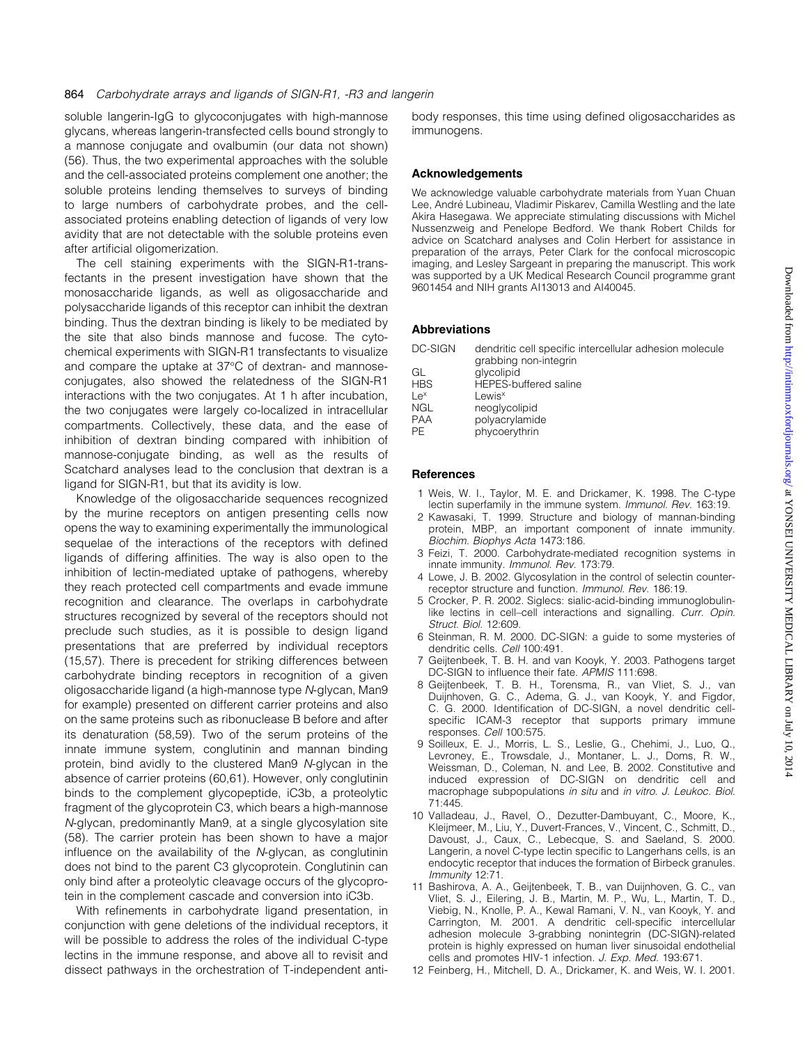soluble langerin-IgG to glycoconjugates with high-mannose glycans, whereas langerin-transfected cells bound strongly to a mannose conjugate and ovalbumin (our data not shown) (56). Thus, the two experimental approaches with the soluble and the cell-associated proteins complement one another; the soluble proteins lending themselves to surveys of binding to large numbers of carbohydrate probes, and the cellassociated proteins enabling detection of ligands of very low avidity that are not detectable with the soluble proteins even after artificial oligomerization.

The cell staining experiments with the SIGN-R1-transfectants in the present investigation have shown that the monosaccharide ligands, as well as oligosaccharide and polysaccharide ligands of this receptor can inhibit the dextran binding. Thus the dextran binding is likely to be mediated by the site that also binds mannose and fucose. The cytochemical experiments with SIGN-R1 transfectants to visualize and compare the uptake at 37°C of dextran- and mannoseconjugates, also showed the relatedness of the SIGN-R1 interactions with the two conjugates. At 1 h after incubation, the two conjugates were largely co-localized in intracellular compartments. Collectively, these data, and the ease of inhibition of dextran binding compared with inhibition of mannose-conjugate binding, as well as the results of Scatchard analyses lead to the conclusion that dextran is a ligand for SIGN-R1, but that its avidity is low.

Knowledge of the oligosaccharide sequences recognized by the murine receptors on antigen presenting cells now opens the way to examining experimentally the immunological sequelae of the interactions of the receptors with defined ligands of differing affinities. The way is also open to the inhibition of lectin-mediated uptake of pathogens, whereby they reach protected cell compartments and evade immune recognition and clearance. The overlaps in carbohydrate structures recognized by several of the receptors should not preclude such studies, as it is possible to design ligand presentations that are preferred by individual receptors (15,57). There is precedent for striking differences between carbohydrate binding receptors in recognition of a given oligosaccharide ligand (a high-mannose type N-glycan, Man9 for example) presented on different carrier proteins and also on the same proteins such as ribonuclease B before and after its denaturation (58,59). Two of the serum proteins of the innate immune system, conglutinin and mannan binding protein, bind avidly to the clustered Man9 N-glycan in the absence of carrier proteins (60,61). However, only conglutinin binds to the complement glycopeptide, iC3b, a proteolytic fragment of the glycoprotein C3, which bears a high-mannose N-glycan, predominantly Man9, at a single glycosylation site (58). The carrier protein has been shown to have a major  $influence$  on the availability of the N-glycan, as conglutinin does not bind to the parent C3 glycoprotein. Conglutinin can only bind after a proteolytic cleavage occurs of the glycoprotein in the complement cascade and conversion into iC3b.

With refinements in carbohydrate ligand presentation, in conjunction with gene deletions of the individual receptors, it will be possible to address the roles of the individual C-type lectins in the immune response, and above all to revisit and dissect pathways in the orchestration of T-independent antibody responses, this time using defined oligosaccharides as immunogens.

#### Acknowledgements

We acknowledge valuable carbohydrate materials from Yuan Chuan Lee, André Lubineau, Vladimir Piskarev, Camilla Westling and the late Akira Hasegawa. We appreciate stimulating discussions with Michel Nussenzweig and Penelope Bedford. We thank Robert Childs for advice on Scatchard analyses and Colin Herbert for assistance in preparation of the arrays, Peter Clark for the confocal microscopic imaging, and Lesley Sargeant in preparing the manuscript. This work was supported by a UK Medical Research Council programme grant 9601454 and NIH grants AI13013 and AI40045.

#### Abbreviations

| DC-SIGN         | dendritic cell specific intercellular adhesion molecule |
|-----------------|---------------------------------------------------------|
| GL              | grabbing non-integrin<br>glycolipid                     |
| <b>HBS</b>      | <b>HEPES-buffered saline</b>                            |
| Le <sup>x</sup> | Lewis <sup>x</sup>                                      |
| <b>NGL</b>      | neoglycolipid                                           |
| <b>PAA</b>      | polyacrylamide                                          |
| PE              | phycoerythrin                                           |

#### **References**

- 1 Weis, W. I., Taylor, M. E. and Drickamer, K. 1998. The C-type lectin superfamily in the immune system. Immunol. Rev. 163:19.
- 2 Kawasaki, T. 1999. Structure and biology of mannan-binding protein, MBP, an important component of innate immunity. Biochim. Biophys Acta 1473:186.
- 3 Feizi, T. 2000. Carbohydrate-mediated recognition systems in innate immunity. Immunol. Rev. 173:79.
- 4 Lowe, J. B. 2002. Glycosylation in the control of selectin counterreceptor structure and function. Immunol. Rev. 186:19.
- 5 Crocker, P. R. 2002. Siglecs: sialic-acid-binding immunoglobulinlike lectins in cell-cell interactions and signalling. Curr. Opin. Struct. Biol. 12:609.
- 6 Steinman, R. M. 2000. DC-SIGN: a guide to some mysteries of dendritic cells. Cell 100:491.
- 7 Geijtenbeek, T. B. H. and van Kooyk, Y. 2003. Pathogens target DC-SIGN to influence their fate. APMIS 111:698.
- 8 Geijtenbeek, T. B. H., Torensma, R., van Vliet, S. J., van Duijnhoven, G. C., Adema, G. J., van Kooyk, Y. and Figdor, C. G. 2000. Identification of DC-SIGN, a novel dendritic cellspecific ICAM-3 receptor that supports primary immune responses. Cell 100:575.
- 9 Soilleux, E. J., Morris, L. S., Leslie, G., Chehimi, J., Luo, Q., Levroney, E., Trowsdale, J., Montaner, L. J., Doms, R. W., Weissman, D., Coleman, N. and Lee, B. 2002. Constitutive and induced expression of DC-SIGN on dendritic cell and macrophage subpopulations in situ and in vitro. J. Leukoc. Biol. 71:445.
- 10 Valladeau, J., Ravel, O., Dezutter-Dambuyant, C., Moore, K., Kleijmeer, M., Liu, Y., Duvert-Frances, V., Vincent, C., Schmitt, D., Davoust, J., Caux, C., Lebecque, S. and Saeland, S. 2000. Langerin, a novel C-type lectin specific to Langerhans cells, is an endocytic receptor that induces the formation of Birbeck granules. Immunity 12:71.
- 11 Bashirova, A. A., Geijtenbeek, T. B., van Duijnhoven, G. C., van Vliet, S. J., Eilering, J. B., Martin, M. P., Wu, L., Martin, T. D., Viebig, N., Knolle, P. A., Kewal Ramani, V. N., van Kooyk, Y. and Carrington, M. 2001. A dendritic cell-specific intercellular adhesion molecule 3-grabbing nonintegrin (DC-SIGN)-related protein is highly expressed on human liver sinusoidal endothelial cells and promotes HIV-1 infection. J. Exp. Med. 193:671.
- 12 Feinberg, H., Mitchell, D. A., Drickamer, K. and Weis, W. I. 2001.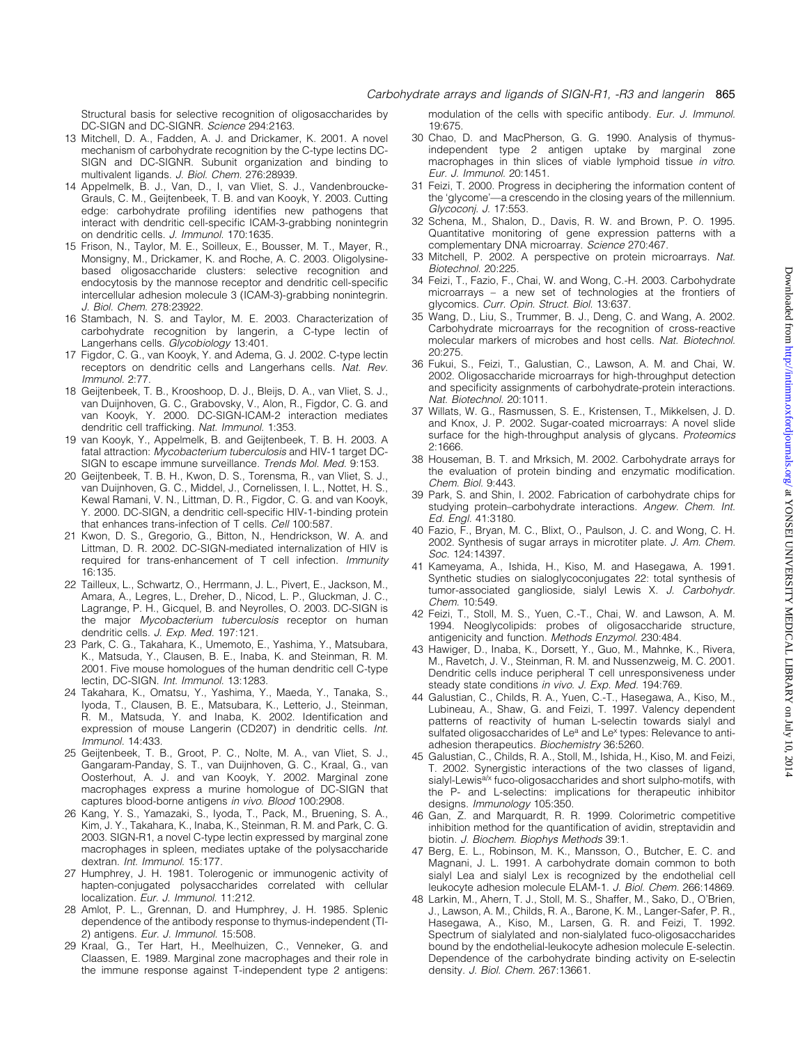Structural basis for selective recognition of oligosaccharides by DC-SIGN and DC-SIGNR. Science 294:2163.

- 13 Mitchell, D. A., Fadden, A. J. and Drickamer, K. 2001. A novel mechanism of carbohydrate recognition by the C-type lectins DC-SIGN and DC-SIGNR. Subunit organization and binding to multivalent ligands. J. Biol. Chem. 276:28939.
- 14 Appelmelk, B. J., Van, D., I, van Vliet, S. J., Vandenbroucke-Grauls, C. M., Geijtenbeek, T. B. and van Kooyk, Y. 2003. Cutting edge: carbohydrate profiling identifies new pathogens that interact with dendritic cell-specific ICAM-3-grabbing nonintegrin on dendritic cells. J. Immunol. 170:1635.
- 15 Frison, N., Taylor, M. E., Soilleux, E., Bousser, M. T., Mayer, R., Monsigny, M., Drickamer, K. and Roche, A. C. 2003. Oligolysinebased oligosaccharide clusters: selective recognition and endocytosis by the mannose receptor and dendritic cell-specific intercellular adhesion molecule 3 (ICAM-3)-grabbing nonintegrin. J. Biol. Chem. 278:23922.
- 16 Stambach, N. S. and Taylor, M. E. 2003. Characterization of carbohydrate recognition by langerin, a C-type lectin of Langerhans cells. Glycobiology 13:401.
- 17 Figdor, C. G., van Kooyk, Y. and Adema, G. J. 2002. C-type lectin receptors on dendritic cells and Langerhans cells. Nat. Rev. Immunol. 2:77.
- 18 Geijtenbeek, T. B., Krooshoop, D. J., Bleijs, D. A., van Vliet, S. J., van Duijnhoven, G. C., Grabovsky, V., Alon, R., Figdor, C. G. and van Kooyk, Y. 2000. DC-SIGN-ICAM-2 interaction mediates dendritic cell trafficking. Nat. Immunol. 1:353.
- 19 van Kooyk, Y., Appelmelk, B. and Geijtenbeek, T. B. H. 2003. A fatal attraction: Mycobacterium tuberculosis and HIV-1 target DC-SIGN to escape immune surveillance. Trends Mol. Med. 9:153.
- 20 Geijtenbeek, T. B. H., Kwon, D. S., Torensma, R., van Vliet, S. J., van Duijnhoven, G. C., Middel, J., Cornelissen, I. L., Nottet, H. S., Kewal Ramani, V. N., Littman, D. R., Figdor, C. G. and van Kooyk, Y. 2000. DC-SIGN, a dendritic cell-specific HIV-1-binding protein that enhances trans-infection of T cells. Cell 100:587.
- 21 Kwon, D. S., Gregorio, G., Bitton, N., Hendrickson, W. A. and Littman, D. R. 2002. DC-SIGN-mediated internalization of HIV is required for trans-enhancement of T cell infection. Immunity 16:135.
- 22 Tailleux, L., Schwartz, O., Herrmann, J. L., Pivert, E., Jackson, M., Amara, A., Legres, L., Dreher, D., Nicod, L. P., Gluckman, J. C., Lagrange, P. H., Gicquel, B. and Neyrolles, O. 2003. DC-SIGN is the major Mycobacterium tuberculosis receptor on human dendritic cells. J. Exp. Med. 197:121.
- 23 Park, C. G., Takahara, K., Umemoto, E., Yashima, Y., Matsubara, K., Matsuda, Y., Clausen, B. E., Inaba, K. and Steinman, R. M. 2001. Five mouse homologues of the human dendritic cell C-type lectin, DC-SIGN. Int. Immunol. 13:1283.
- 24 Takahara, K., Omatsu, Y., Yashima, Y., Maeda, Y., Tanaka, S., Iyoda, T., Clausen, B. E., Matsubara, K., Letterio, J., Steinman, R. M., Matsuda, Y. and Inaba, K. 2002. Identification and expression of mouse Langerin (CD207) in dendritic cells. Int. Immunol. 14:433.
- 25 Geijtenbeek, T. B., Groot, P. C., Nolte, M. A., van Vliet, S. J., Gangaram-Panday, S. T., van Duijnhoven, G. C., Kraal, G., van Oosterhout, A. J. and van Kooyk, Y. 2002. Marginal zone macrophages express a murine homologue of DC-SIGN that captures blood-borne antigens in vivo. Blood 100:2908.
- 26 Kang, Y. S., Yamazaki, S., Iyoda, T., Pack, M., Bruening, S. A., Kim, J. Y., Takahara, K., Inaba, K., Steinman, R. M. and Park, C. G. 2003. SIGN-R1, a novel C-type lectin expressed by marginal zone macrophages in spleen, mediates uptake of the polysaccharide dextran. Int. Immunol. 15:177.
- 27 Humphrey, J. H. 1981. Tolerogenic or immunogenic activity of hapten-conjugated polysaccharides correlated with cellular localization. Eur. J. Immunol. 11:212.
- 28 Amlot, P. L., Grennan, D. and Humphrey, J. H. 1985. Splenic dependence of the antibody response to thymus-independent (TI-2) antigens. Eur. J. Immunol. 15:508.
- 29 Kraal, G., Ter Hart, H., Meelhuizen, C., Venneker, G. and Claassen, E. 1989. Marginal zone macrophages and their role in the immune response against T-independent type 2 antigens:

modulation of the cells with specific antibody. Eur. J. Immunol. 19:675.

- 30 Chao, D. and MacPherson, G. G. 1990. Analysis of thymusindependent type 2 antigen uptake by marginal zone macrophages in thin slices of viable lymphoid tissue in vitro. Eur. J. Immunol. 20:1451.
- 31 Feizi, T. 2000. Progress in deciphering the information content of the 'glycome'—a crescendo in the closing years of the millennium. Glycoconj. J. 17:553.
- 32 Schena, M., Shalon, D., Davis, R. W. and Brown, P. O. 1995. Quantitative monitoring of gene expression patterns with a complementary DNA microarray. Science 270:467.
- 33 Mitchell, P. 2002. A perspective on protein microarrays. Nat. Biotechnol. 20:225.
- 34 Feizi, T., Fazio, F., Chai, W. and Wong, C.-H. 2003. Carbohydrate microarrays  $-$  a new set of technologies at the frontiers of glycomics. Curr. Opin. Struct. Biol. 13:637.
- 35 Wang, D., Liu, S., Trummer, B. J., Deng, C. and Wang, A. 2002. Carbohydrate microarrays for the recognition of cross-reactive molecular markers of microbes and host cells. Nat. Biotechnol. 20:275.
- 36 Fukui, S., Feizi, T., Galustian, C., Lawson, A. M. and Chai, W. 2002. Oligosaccharide microarrays for high-throughput detection and specificity assignments of carbohydrate-protein interactions. Nat. Biotechnol. 20:1011.
- 37 Willats, W. G., Rasmussen, S. E., Kristensen, T., Mikkelsen, J. D. and Knox, J. P. 2002. Sugar-coated microarrays: A novel slide surface for the high-throughput analysis of glycans. Proteomics 2:1666.
- 38 Houseman, B. T. and Mrksich, M. 2002. Carbohydrate arrays for the evaluation of protein binding and enzymatic modification. Chem. Biol. 9:443.
- 39 Park, S. and Shin, I. 2002. Fabrication of carbohydrate chips for studying protein-carbohydrate interactions. Angew. Chem. Int. Ed. Engl. 41:3180.
- 40 Fazio, F., Bryan, M. C., Blixt, O., Paulson, J. C. and Wong, C. H. 2002. Synthesis of sugar arrays in microtiter plate. J. Am. Chem. Soc. 124:14397.
- 41 Kameyama, A., Ishida, H., Kiso, M. and Hasegawa, A. 1991. Synthetic studies on sialoglycoconjugates 22: total synthesis of tumor-associated ganglioside, sialyl Lewis X. J. Carbohydr. Chem. 10:549.
- 42 Feizi, T., Stoll, M. S., Yuen, C.-T., Chai, W. and Lawson, A. M. 1994. Neoglycolipids: probes of oligosaccharide structure, antigenicity and function. Methods Enzymol. 230:484.
- 43 Hawiger, D., Inaba, K., Dorsett, Y., Guo, M., Mahnke, K., Rivera, M., Ravetch, J. V., Steinman, R. M. and Nussenzweig, M. C. 2001. Dendritic cells induce peripheral T cell unresponsiveness under steady state conditions in vivo. J. Exp. Med. 194:769.
- 44 Galustian, C., Childs, R. A., Yuen, C.-T., Hasegawa, A., Kiso, M., Lubineau, A., Shaw, G. and Feizi, T. 1997. Valency dependent patterns of reactivity of human L-selectin towards sialyl and sulfated oligosaccharides of Le<sup>a</sup> and Le<sup>x</sup> types: Relevance to antiadhesion therapeutics. Biochemistry 36:5260.
- 45 Galustian, C., Childs, R. A., Stoll, M., Ishida, H., Kiso, M. and Feizi, T. 2002. Synergistic interactions of the two classes of ligand, sialyl-Lewis<sup>a/x</sup> fuco-oligosaccharides and short sulpho-motifs, with the P- and L-selectins: implications for therapeutic inhibitor designs. Immunology 105:350.
- 46 Gan, Z. and Marquardt, R. R. 1999. Colorimetric competitive inhibition method for the quantification of avidin, streptavidin and biotin. J. Biochem. Biophys Methods 39:1.
- 47 Berg, E. L., Robinson, M. K., Mansson, O., Butcher, E. C. and Magnani, J. L. 1991. A carbohydrate domain common to both sialyl Lea and sialyl Lex is recognized by the endothelial cell leukocyte adhesion molecule ELAM-1. J. Biol. Chem. 266:14869.
- 48 Larkin, M., Ahern, T. J., Stoll, M. S., Shaffer, M., Sako, D., O'Brien, J., Lawson, A. M., Childs, R. A., Barone, K. M., Langer-Safer, P. R., Hasegawa, A., Kiso, M., Larsen, G. R. and Feizi, T. 1992. Spectrum of sialylated and non-sialylated fuco-oligosaccharides bound by the endothelial-leukocyte adhesion molecule E-selectin. Dependence of the carbohydrate binding activity on E-selectin density. J. Biol. Chem. 267:13661.